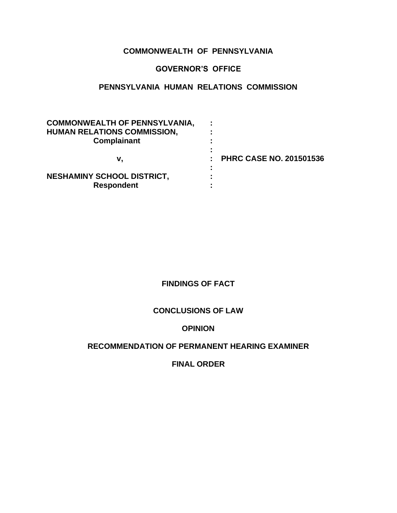# **COMMONWEALTH OF PENNSYLVANIA**

### **GOVERNOR'S OFFICE**

## **PENNSYLVANIA HUMAN RELATIONS COMMISSION**

| <b>COMMONWEALTH OF PENNSYLVANIA,</b><br><b>HUMAN RELATIONS COMMISSION,</b><br><b>Complainant</b> |                                |
|--------------------------------------------------------------------------------------------------|--------------------------------|
|                                                                                                  | <b>PHRC CASE NO. 201501536</b> |
| <b>NESHAMINY SCHOOL DISTRICT,</b><br><b>Respondent</b>                                           |                                |

# **FINDINGS OF FACT**

### **CONCLUSIONS OF LAW**

# **OPINION**

### **RECOMMENDATION OF PERMANENT HEARING EXAMINER**

# **FINAL ORDER**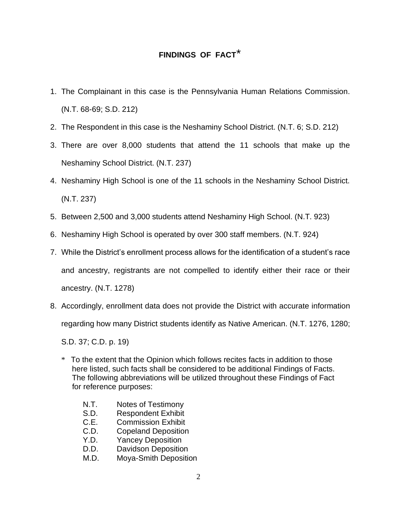# **FINDINGS OF FACT**\*

- 1. The Complainant in this case is the Pennsylvania Human Relations Commission. (N.T. 68-69; S.D. 212)
- 2. The Respondent in this case is the Neshaminy School District. (N.T. 6; S.D. 212)
- 3. There are over 8,000 students that attend the 11 schools that make up the Neshaminy School District. (N.T. 237)
- 4. Neshaminy High School is one of the 11 schools in the Neshaminy School District. (N.T. 237)
- 5. Between 2,500 and 3,000 students attend Neshaminy High School. (N.T. 923)
- 6. Neshaminy High School is operated by over 300 staff members. (N.T. 924)
- 7. While the District's enrollment process allows for the identification of a student's race

and ancestry, registrants are not compelled to identify either their race or their

ancestry. (N.T. 1278)

8. Accordingly, enrollment data does not provide the District with accurate information regarding how many District students identify as Native American. (N.T. 1276, 1280;

S.D. 37; C.D. p. 19)

- \* To the extent that the Opinion which follows recites facts in addition to those here listed, such facts shall be considered to be additional Findings of Facts. The following abbreviations will be utilized throughout these Findings of Fact for reference purposes:
	- N.T. Notes of Testimony
	- S.D. Respondent Exhibit
	- C.E. Commission Exhibit
	- C.D. Copeland Deposition
	- Y.D. Yancey Deposition
	- D.D. Davidson Deposition
	- M.D. Moya-Smith Deposition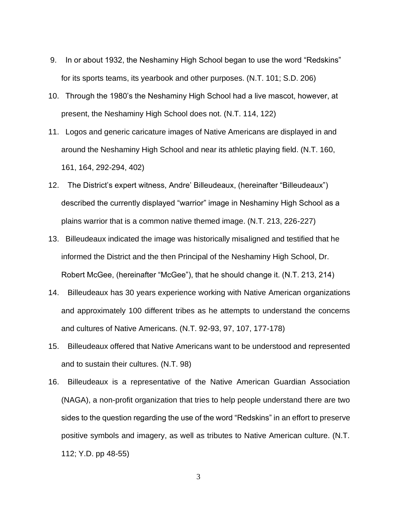- 9. In or about 1932, the Neshaminy High School began to use the word "Redskins" for its sports teams, its yearbook and other purposes. (N.T. 101; S.D. 206)
- 10. Through the 1980's the Neshaminy High School had a live mascot, however, at present, the Neshaminy High School does not. (N.T. 114, 122)
- 11. Logos and generic caricature images of Native Americans are displayed in and around the Neshaminy High School and near its athletic playing field. (N.T. 160, 161, 164, 292-294, 402)
- 12. The District's expert witness, Andre' Billeudeaux, (hereinafter "Billeudeaux") described the currently displayed "warrior" image in Neshaminy High School as a plains warrior that is a common native themed image. (N.T. 213, 226-227)
- 13. Billeudeaux indicated the image was historically misaligned and testified that he informed the District and the then Principal of the Neshaminy High School, Dr. Robert McGee, (hereinafter "McGee"), that he should change it. (N.T. 213, 214)
- 14. Billeudeaux has 30 years experience working with Native American organizations and approximately 100 different tribes as he attempts to understand the concerns and cultures of Native Americans. (N.T. 92-93, 97, 107, 177-178)
- 15. Billeudeaux offered that Native Americans want to be understood and represented and to sustain their cultures. (N.T. 98)
- 16. Billeudeaux is a representative of the Native American Guardian Association (NAGA), a non-profit organization that tries to help people understand there are two sides to the question regarding the use of the word "Redskins" in an effort to preserve positive symbols and imagery, as well as tributes to Native American culture. (N.T. 112; Y.D. pp 48-55)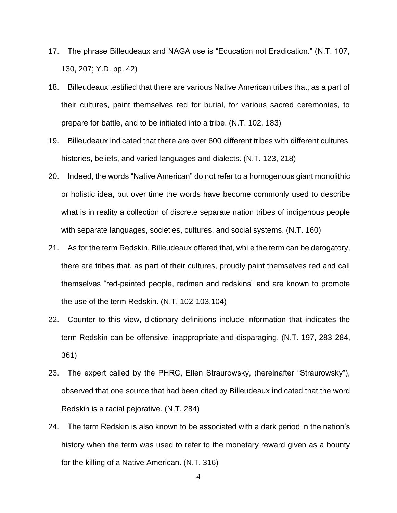- 17. The phrase Billeudeaux and NAGA use is "Education not Eradication." (N.T. 107, 130, 207; Y.D. pp. 42)
- 18. Billeudeaux testified that there are various Native American tribes that, as a part of their cultures, paint themselves red for burial, for various sacred ceremonies, to prepare for battle, and to be initiated into a tribe. (N.T. 102, 183)
- 19. Billeudeaux indicated that there are over 600 different tribes with different cultures, histories, beliefs, and varied languages and dialects. (N.T. 123, 218)
- 20. Indeed, the words "Native American" do not refer to a homogenous giant monolithic or holistic idea, but over time the words have become commonly used to describe what is in reality a collection of discrete separate nation tribes of indigenous people with separate languages, societies, cultures, and social systems. (N.T. 160)
- 21. As for the term Redskin, Billeudeaux offered that, while the term can be derogatory, there are tribes that, as part of their cultures, proudly paint themselves red and call themselves "red-painted people, redmen and redskins" and are known to promote the use of the term Redskin. (N.T. 102-103,104)
- 22. Counter to this view, dictionary definitions include information that indicates the term Redskin can be offensive, inappropriate and disparaging. (N.T. 197, 283-284, 361)
- 23. The expert called by the PHRC, Ellen Straurowsky, (hereinafter "Straurowsky"), observed that one source that had been cited by Billeudeaux indicated that the word Redskin is a racial pejorative. (N.T. 284)
- 24. The term Redskin is also known to be associated with a dark period in the nation's history when the term was used to refer to the monetary reward given as a bounty for the killing of a Native American. (N.T. 316)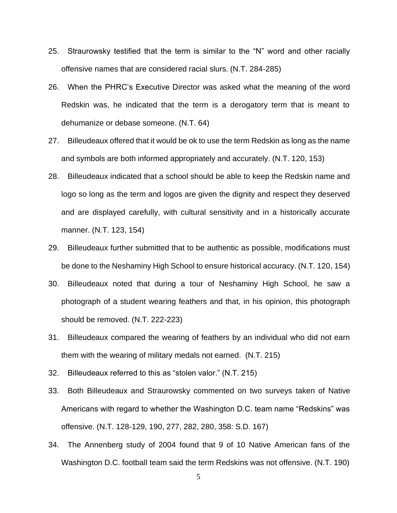- 25. Straurowsky testified that the term is similar to the "N" word and other racially offensive names that are considered racial slurs. (N.T. 284-285)
- 26. When the PHRC's Executive Director was asked what the meaning of the word Redskin was, he indicated that the term is a derogatory term that is meant to dehumanize or debase someone. (N.T. 64)
- 27. Billeudeaux offered that it would be ok to use the term Redskin as long as the name and symbols are both informed appropriately and accurately. (N.T. 120, 153)
- 28. Billeudeaux indicated that a school should be able to keep the Redskin name and logo so long as the term and logos are given the dignity and respect they deserved and are displayed carefully, with cultural sensitivity and in a historically accurate manner. (N.T. 123, 154)
- 29. Billeudeaux further submitted that to be authentic as possible, modifications must be done to the Neshaminy High School to ensure historical accuracy. (N.T. 120, 154)
- 30. Billeudeaux noted that during a tour of Neshaminy High School, he saw a photograph of a student wearing feathers and that, in his opinion, this photograph should be removed. (N.T. 222-223)
- 31. Billeudeaux compared the wearing of feathers by an individual who did not earn them with the wearing of military medals not earned. (N.T. 215)
- 32. Billeudeaux referred to this as "stolen valor." (N.T. 215)
- 33. Both Billeudeaux and Straurowsky commented on two surveys taken of Native Americans with regard to whether the Washington D.C. team name "Redskins" was offensive. (N.T. 128-129, 190, 277, 282, 280, 358: S.D. 167)
- 34. The Annenberg study of 2004 found that 9 of 10 Native American fans of the Washington D.C. football team said the term Redskins was not offensive. (N.T. 190)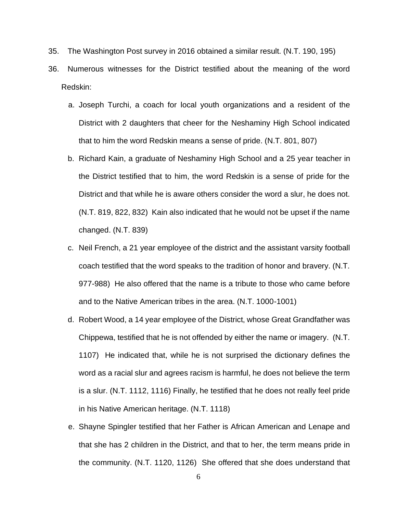- 35. The Washington Post survey in 2016 obtained a similar result. (N.T. 190, 195)
- 36. Numerous witnesses for the District testified about the meaning of the word Redskin:
	- a. Joseph Turchi, a coach for local youth organizations and a resident of the District with 2 daughters that cheer for the Neshaminy High School indicated that to him the word Redskin means a sense of pride. (N.T. 801, 807)
	- b. Richard Kain, a graduate of Neshaminy High School and a 25 year teacher in the District testified that to him, the word Redskin is a sense of pride for the District and that while he is aware others consider the word a slur, he does not. (N.T. 819, 822, 832) Kain also indicated that he would not be upset if the name changed. (N.T. 839)
	- c. Neil French, a 21 year employee of the district and the assistant varsity football coach testified that the word speaks to the tradition of honor and bravery. (N.T. 977-988) He also offered that the name is a tribute to those who came before and to the Native American tribes in the area. (N.T. 1000-1001)
	- d. Robert Wood, a 14 year employee of the District, whose Great Grandfather was Chippewa, testified that he is not offended by either the name or imagery. (N.T. 1107) He indicated that, while he is not surprised the dictionary defines the word as a racial slur and agrees racism is harmful, he does not believe the term is a slur. (N.T. 1112, 1116) Finally, he testified that he does not really feel pride in his Native American heritage. (N.T. 1118)
	- e. Shayne Spingler testified that her Father is African American and Lenape and that she has 2 children in the District, and that to her, the term means pride in the community. (N.T. 1120, 1126) She offered that she does understand that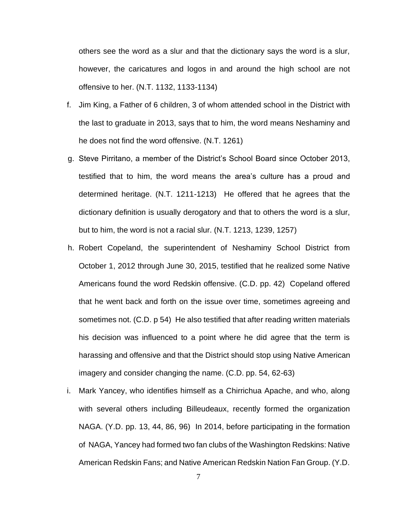others see the word as a slur and that the dictionary says the word is a slur, however, the caricatures and logos in and around the high school are not offensive to her. (N.T. 1132, 1133-1134)

- f. Jim King, a Father of 6 children, 3 of whom attended school in the District with the last to graduate in 2013, says that to him, the word means Neshaminy and he does not find the word offensive. (N.T. 1261)
- g. Steve Pirritano, a member of the District's School Board since October 2013, testified that to him, the word means the area's culture has a proud and determined heritage. (N.T. 1211-1213) He offered that he agrees that the dictionary definition is usually derogatory and that to others the word is a slur, but to him, the word is not a racial slur. (N.T. 1213, 1239, 1257)
- h. Robert Copeland, the superintendent of Neshaminy School District from October 1, 2012 through June 30, 2015, testified that he realized some Native Americans found the word Redskin offensive. (C.D. pp. 42) Copeland offered that he went back and forth on the issue over time, sometimes agreeing and sometimes not. (C.D. p 54) He also testified that after reading written materials his decision was influenced to a point where he did agree that the term is harassing and offensive and that the District should stop using Native American imagery and consider changing the name. (C.D. pp. 54, 62-63)
- i. Mark Yancey, who identifies himself as a Chirrichua Apache, and who, along with several others including Billeudeaux, recently formed the organization NAGA. (Y.D. pp. 13, 44, 86, 96) In 2014, before participating in the formation of NAGA, Yancey had formed two fan clubs of the Washington Redskins: Native American Redskin Fans; and Native American Redskin Nation Fan Group. (Y.D.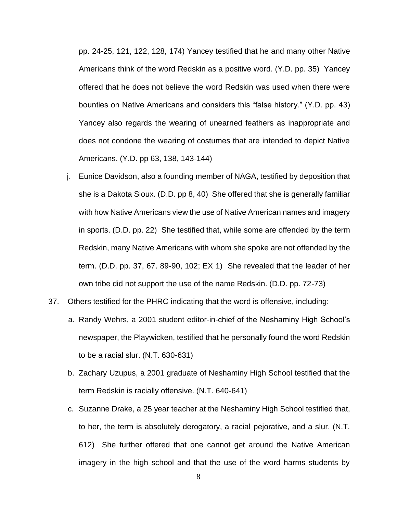pp. 24-25, 121, 122, 128, 174) Yancey testified that he and many other Native Americans think of the word Redskin as a positive word. (Y.D. pp. 35) Yancey offered that he does not believe the word Redskin was used when there were bounties on Native Americans and considers this "false history." (Y.D. pp. 43) Yancey also regards the wearing of unearned feathers as inappropriate and does not condone the wearing of costumes that are intended to depict Native Americans. (Y.D. pp 63, 138, 143-144)

- j. Eunice Davidson, also a founding member of NAGA, testified by deposition that she is a Dakota Sioux. (D.D. pp 8, 40) She offered that she is generally familiar with how Native Americans view the use of Native American names and imagery in sports. (D.D. pp. 22) She testified that, while some are offended by the term Redskin, many Native Americans with whom she spoke are not offended by the term. (D.D. pp. 37, 67. 89-90, 102; EX 1) She revealed that the leader of her own tribe did not support the use of the name Redskin. (D.D. pp. 72-73)
- 37. Others testified for the PHRC indicating that the word is offensive, including:
	- a. Randy Wehrs, a 2001 student editor-in-chief of the Neshaminy High School's newspaper, the Playwicken, testified that he personally found the word Redskin to be a racial slur. (N.T. 630-631)
	- b. Zachary Uzupus, a 2001 graduate of Neshaminy High School testified that the term Redskin is racially offensive. (N.T. 640-641)
	- c. Suzanne Drake, a 25 year teacher at the Neshaminy High School testified that, to her, the term is absolutely derogatory, a racial pejorative, and a slur. (N.T. 612) She further offered that one cannot get around the Native American imagery in the high school and that the use of the word harms students by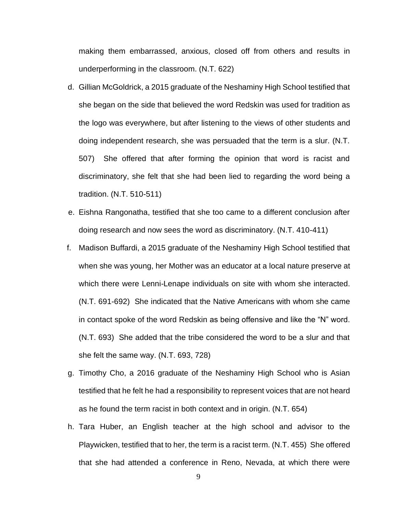making them embarrassed, anxious, closed off from others and results in underperforming in the classroom. (N.T. 622)

- d. Gillian McGoldrick, a 2015 graduate of the Neshaminy High School testified that she began on the side that believed the word Redskin was used for tradition as the logo was everywhere, but after listening to the views of other students and doing independent research, she was persuaded that the term is a slur. (N.T. 507) She offered that after forming the opinion that word is racist and discriminatory, she felt that she had been lied to regarding the word being a tradition. (N.T. 510-511)
- e. Eishna Rangonatha, testified that she too came to a different conclusion after doing research and now sees the word as discriminatory. (N.T. 410-411)
- f. Madison Buffardi, a 2015 graduate of the Neshaminy High School testified that when she was young, her Mother was an educator at a local nature preserve at which there were Lenni-Lenape individuals on site with whom she interacted. (N.T. 691-692) She indicated that the Native Americans with whom she came in contact spoke of the word Redskin as being offensive and like the "N" word. (N.T. 693) She added that the tribe considered the word to be a slur and that she felt the same way. (N.T. 693, 728)
- g. Timothy Cho, a 2016 graduate of the Neshaminy High School who is Asian testified that he felt he had a responsibility to represent voices that are not heard as he found the term racist in both context and in origin. (N.T. 654)
- h. Tara Huber, an English teacher at the high school and advisor to the Playwicken, testified that to her, the term is a racist term. (N.T. 455) She offered that she had attended a conference in Reno, Nevada, at which there were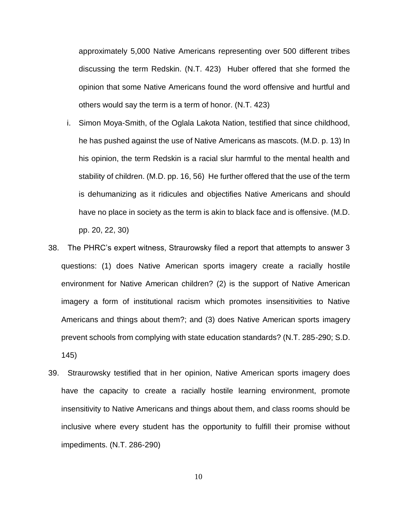approximately 5,000 Native Americans representing over 500 different tribes discussing the term Redskin. (N.T. 423) Huber offered that she formed the opinion that some Native Americans found the word offensive and hurtful and others would say the term is a term of honor. (N.T. 423)

- i. Simon Moya-Smith, of the Oglala Lakota Nation, testified that since childhood, he has pushed against the use of Native Americans as mascots. (M.D. p. 13) In his opinion, the term Redskin is a racial slur harmful to the mental health and stability of children. (M.D. pp. 16, 56) He further offered that the use of the term is dehumanizing as it ridicules and objectifies Native Americans and should have no place in society as the term is akin to black face and is offensive. (M.D. pp. 20, 22, 30)
- 38. The PHRC's expert witness, Straurowsky filed a report that attempts to answer 3 questions: (1) does Native American sports imagery create a racially hostile environment for Native American children? (2) is the support of Native American imagery a form of institutional racism which promotes insensitivities to Native Americans and things about them?; and (3) does Native American sports imagery prevent schools from complying with state education standards? (N.T. 285-290; S.D. 145)
- 39. Straurowsky testified that in her opinion, Native American sports imagery does have the capacity to create a racially hostile learning environment, promote insensitivity to Native Americans and things about them, and class rooms should be inclusive where every student has the opportunity to fulfill their promise without impediments. (N.T. 286-290)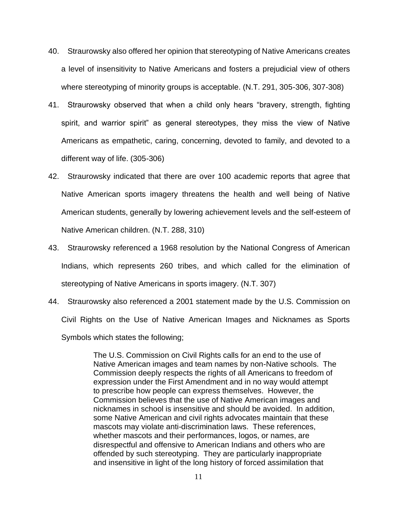- 40. Straurowsky also offered her opinion that stereotyping of Native Americans creates a level of insensitivity to Native Americans and fosters a prejudicial view of others where stereotyping of minority groups is acceptable. (N.T. 291, 305-306, 307-308)
- 41. Straurowsky observed that when a child only hears "bravery, strength, fighting spirit, and warrior spirit" as general stereotypes, they miss the view of Native Americans as empathetic, caring, concerning, devoted to family, and devoted to a different way of life. (305-306)
- 42. Straurowsky indicated that there are over 100 academic reports that agree that Native American sports imagery threatens the health and well being of Native American students, generally by lowering achievement levels and the self-esteem of Native American children. (N.T. 288, 310)
- 43. Straurowsky referenced a 1968 resolution by the National Congress of American Indians, which represents 260 tribes, and which called for the elimination of stereotyping of Native Americans in sports imagery. (N.T. 307)
- 44. Straurowsky also referenced a 2001 statement made by the U.S. Commission on Civil Rights on the Use of Native American Images and Nicknames as Sports Symbols which states the following;

The U.S. Commission on Civil Rights calls for an end to the use of Native American images and team names by non-Native schools. The Commission deeply respects the rights of all Americans to freedom of expression under the First Amendment and in no way would attempt to prescribe how people can express themselves. However, the Commission believes that the use of Native American images and nicknames in school is insensitive and should be avoided. In addition, some Native American and civil rights advocates maintain that these mascots may violate anti-discrimination laws. These references, whether mascots and their performances, logos, or names, are disrespectful and offensive to American Indians and others who are offended by such stereotyping. They are particularly inappropriate and insensitive in light of the long history of forced assimilation that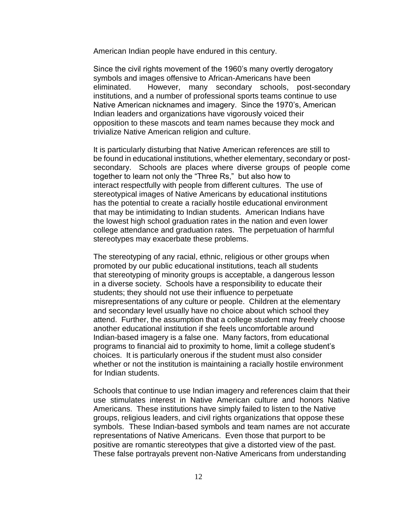American Indian people have endured in this century.

Since the civil rights movement of the 1960's many overtly derogatory symbols and images offensive to African-Americans have been eliminated. However, many secondary schools, post-secondary institutions, and a number of professional sports teams continue to use Native American nicknames and imagery. Since the 1970's, American Indian leaders and organizations have vigorously voiced their opposition to these mascots and team names because they mock and trivialize Native American religion and culture.

It is particularly disturbing that Native American references are still to be found in educational institutions, whether elementary, secondary or postsecondary. Schools are places where diverse groups of people come together to learn not only the "Three Rs," but also how to interact respectfully with people from different cultures. The use of stereotypical images of Native Americans by educational institutions has the potential to create a racially hostile educational environment that may be intimidating to Indian students. American Indians have the lowest high school graduation rates in the nation and even lower college attendance and graduation rates. The perpetuation of harmful stereotypes may exacerbate these problems.

The stereotyping of any racial, ethnic, religious or other groups when promoted by our public educational institutions, teach all students that stereotyping of minority groups is acceptable, a dangerous lesson in a diverse society. Schools have a responsibility to educate their students; they should not use their influence to perpetuate misrepresentations of any culture or people. Children at the elementary and secondary level usually have no choice about which school they attend. Further, the assumption that a college student may freely choose another educational institution if she feels uncomfortable around Indian-based imagery is a false one. Many factors, from educational programs to financial aid to proximity to home, limit a college student's choices. It is particularly onerous if the student must also consider whether or not the institution is maintaining a racially hostile environment for Indian students.

Schools that continue to use Indian imagery and references claim that their use stimulates interest in Native American culture and honors Native Americans. These institutions have simply failed to listen to the Native groups, religious leaders, and civil rights organizations that oppose these symbols. These Indian-based symbols and team names are not accurate representations of Native Americans. Even those that purport to be positive are romantic stereotypes that give a distorted view of the past. These false portrayals prevent non-Native Americans from understanding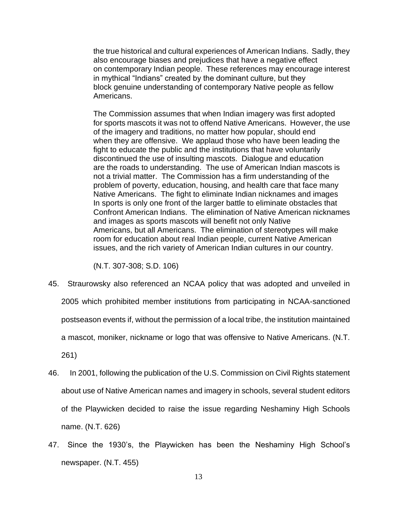the true historical and cultural experiences of American Indians. Sadly, they also encourage biases and prejudices that have a negative effect on contemporary Indian people. These references may encourage interest in mythical "Indians" created by the dominant culture, but they block genuine understanding of contemporary Native people as fellow Americans.

The Commission assumes that when Indian imagery was first adopted for sports mascots it was not to offend Native Americans. However, the use of the imagery and traditions, no matter how popular, should end when they are offensive. We applaud those who have been leading the fight to educate the public and the institutions that have voluntarily discontinued the use of insulting mascots. Dialogue and education are the roads to understanding. The use of American Indian mascots is not a trivial matter. The Commission has a firm understanding of the problem of poverty, education, housing, and health care that face many Native Americans. The fight to eliminate Indian nicknames and images In sports is only one front of the larger battle to eliminate obstacles that Confront American Indians. The elimination of Native American nicknames and images as sports mascots will benefit not only Native Americans, but all Americans. The elimination of stereotypes will make room for education about real Indian people, current Native American issues, and the rich variety of American Indian cultures in our country.

(N.T. 307-308; S.D. 106)

45. Straurowsky also referenced an NCAA policy that was adopted and unveiled in

2005 which prohibited member institutions from participating in NCAA-sanctioned

postseason events if, without the permission of a local tribe, the institution maintained

a mascot, moniker, nickname or logo that was offensive to Native Americans. (N.T.

261)

- 46. In 2001, following the publication of the U.S. Commission on Civil Rights statement about use of Native American names and imagery in schools, several student editors of the Playwicken decided to raise the issue regarding Neshaminy High Schools name. (N.T. 626)
- 47. Since the 1930's, the Playwicken has been the Neshaminy High School's newspaper. (N.T. 455)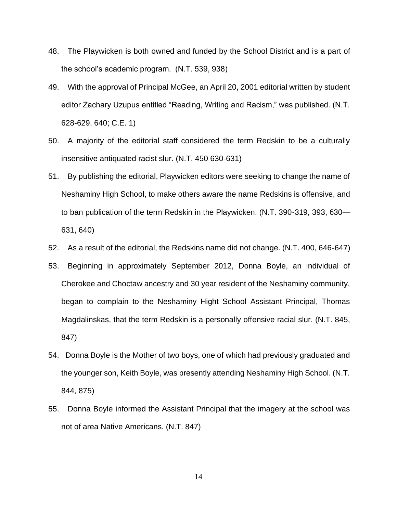- 48. The Playwicken is both owned and funded by the School District and is a part of the school's academic program. (N.T. 539, 938)
- 49. With the approval of Principal McGee, an April 20, 2001 editorial written by student editor Zachary Uzupus entitled "Reading, Writing and Racism," was published. (N.T. 628-629, 640; C.E. 1)
- 50. A majority of the editorial staff considered the term Redskin to be a culturally insensitive antiquated racist slur. (N.T. 450 630-631)
- 51. By publishing the editorial, Playwicken editors were seeking to change the name of Neshaminy High School, to make others aware the name Redskins is offensive, and to ban publication of the term Redskin in the Playwicken. (N.T. 390-319, 393, 630— 631, 640)
- 52. As a result of the editorial, the Redskins name did not change. (N.T. 400, 646-647)
- 53. Beginning in approximately September 2012, Donna Boyle, an individual of Cherokee and Choctaw ancestry and 30 year resident of the Neshaminy community, began to complain to the Neshaminy Hight School Assistant Principal, Thomas Magdalinskas, that the term Redskin is a personally offensive racial slur. (N.T. 845, 847)
- 54. Donna Boyle is the Mother of two boys, one of which had previously graduated and the younger son, Keith Boyle, was presently attending Neshaminy High School. (N.T. 844, 875)
- 55. Donna Boyle informed the Assistant Principal that the imagery at the school was not of area Native Americans. (N.T. 847)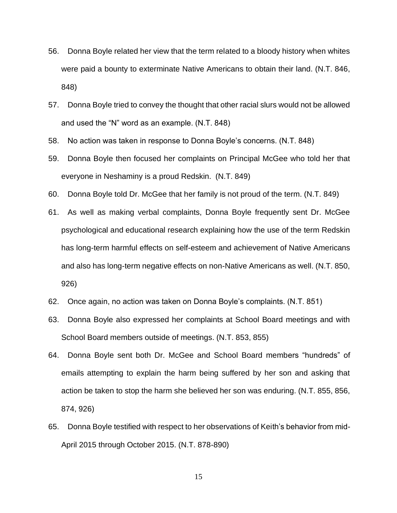- 56. Donna Boyle related her view that the term related to a bloody history when whites were paid a bounty to exterminate Native Americans to obtain their land. (N.T. 846, 848)
- 57. Donna Boyle tried to convey the thought that other racial slurs would not be allowed and used the "N" word as an example. (N.T. 848)
- 58. No action was taken in response to Donna Boyle's concerns. (N.T. 848)
- 59. Donna Boyle then focused her complaints on Principal McGee who told her that everyone in Neshaminy is a proud Redskin. (N.T. 849)
- 60. Donna Boyle told Dr. McGee that her family is not proud of the term. (N.T. 849)
- 61. As well as making verbal complaints, Donna Boyle frequently sent Dr. McGee psychological and educational research explaining how the use of the term Redskin has long-term harmful effects on self-esteem and achievement of Native Americans and also has long-term negative effects on non-Native Americans as well. (N.T. 850, 926)
- 62. Once again, no action was taken on Donna Boyle's complaints. (N.T. 851)
- 63. Donna Boyle also expressed her complaints at School Board meetings and with School Board members outside of meetings. (N.T. 853, 855)
- 64. Donna Boyle sent both Dr. McGee and School Board members "hundreds" of emails attempting to explain the harm being suffered by her son and asking that action be taken to stop the harm she believed her son was enduring. (N.T. 855, 856, 874, 926)
- 65. Donna Boyle testified with respect to her observations of Keith's behavior from mid-April 2015 through October 2015. (N.T. 878-890)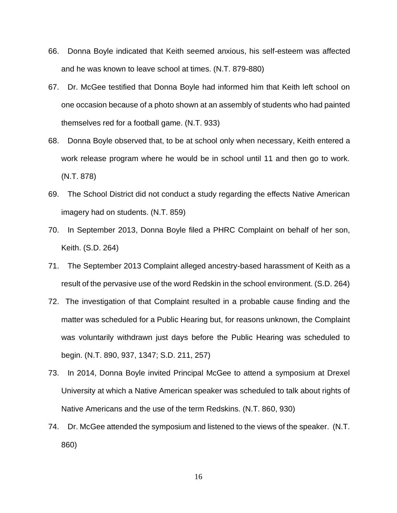- 66. Donna Boyle indicated that Keith seemed anxious, his self-esteem was affected and he was known to leave school at times. (N.T. 879-880)
- 67. Dr. McGee testified that Donna Boyle had informed him that Keith left school on one occasion because of a photo shown at an assembly of students who had painted themselves red for a football game. (N.T. 933)
- 68. Donna Boyle observed that, to be at school only when necessary, Keith entered a work release program where he would be in school until 11 and then go to work. (N.T. 878)
- 69. The School District did not conduct a study regarding the effects Native American imagery had on students. (N.T. 859)
- 70. In September 2013, Donna Boyle filed a PHRC Complaint on behalf of her son, Keith. (S.D. 264)
- 71. The September 2013 Complaint alleged ancestry-based harassment of Keith as a result of the pervasive use of the word Redskin in the school environment. (S.D. 264)
- 72. The investigation of that Complaint resulted in a probable cause finding and the matter was scheduled for a Public Hearing but, for reasons unknown, the Complaint was voluntarily withdrawn just days before the Public Hearing was scheduled to begin. (N.T. 890, 937, 1347; S.D. 211, 257)
- 73. In 2014, Donna Boyle invited Principal McGee to attend a symposium at Drexel University at which a Native American speaker was scheduled to talk about rights of Native Americans and the use of the term Redskins. (N.T. 860, 930)
- 74. Dr. McGee attended the symposium and listened to the views of the speaker. (N.T. 860)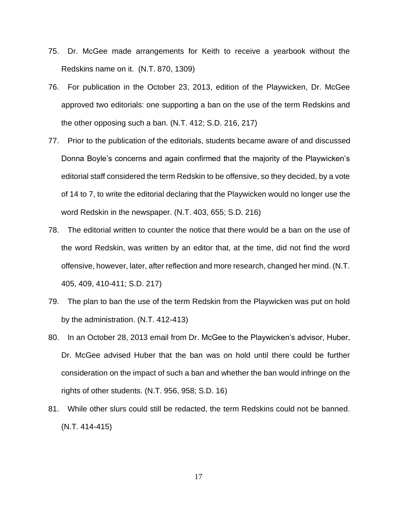- 75. Dr. McGee made arrangements for Keith to receive a yearbook without the Redskins name on it. (N.T. 870, 1309)
- 76. For publication in the October 23, 2013, edition of the Playwicken, Dr. McGee approved two editorials: one supporting a ban on the use of the term Redskins and the other opposing such a ban. (N.T. 412; S.D. 216, 217)
- 77. Prior to the publication of the editorials, students became aware of and discussed Donna Boyle's concerns and again confirmed that the majority of the Playwicken's editorial staff considered the term Redskin to be offensive, so they decided, by a vote of 14 to 7, to write the editorial declaring that the Playwicken would no longer use the word Redskin in the newspaper. (N.T. 403, 655; S.D. 216)
- 78. The editorial written to counter the notice that there would be a ban on the use of the word Redskin, was written by an editor that, at the time, did not find the word offensive, however, later, after reflection and more research, changed her mind. (N.T. 405, 409, 410-411; S.D. 217)
- 79. The plan to ban the use of the term Redskin from the Playwicken was put on hold by the administration. (N.T. 412-413)
- 80. In an October 28, 2013 email from Dr. McGee to the Playwicken's advisor, Huber, Dr. McGee advised Huber that the ban was on hold until there could be further consideration on the impact of such a ban and whether the ban would infringe on the rights of other students. (N.T. 956, 958; S.D. 16)
- 81. While other slurs could still be redacted, the term Redskins could not be banned. (N.T. 414-415)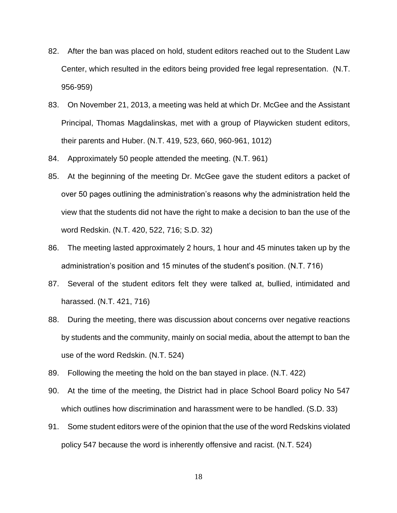- 82. After the ban was placed on hold, student editors reached out to the Student Law Center, which resulted in the editors being provided free legal representation. (N.T. 956-959)
- 83. On November 21, 2013, a meeting was held at which Dr. McGee and the Assistant Principal, Thomas Magdalinskas, met with a group of Playwicken student editors, their parents and Huber. (N.T. 419, 523, 660, 960-961, 1012)
- 84. Approximately 50 people attended the meeting. (N.T. 961)
- 85. At the beginning of the meeting Dr. McGee gave the student editors a packet of over 50 pages outlining the administration's reasons why the administration held the view that the students did not have the right to make a decision to ban the use of the word Redskin. (N.T. 420, 522, 716; S.D. 32)
- 86. The meeting lasted approximately 2 hours, 1 hour and 45 minutes taken up by the administration's position and 15 minutes of the student's position. (N.T. 716)
- 87. Several of the student editors felt they were talked at, bullied, intimidated and harassed. (N.T. 421, 716)
- 88. During the meeting, there was discussion about concerns over negative reactions by students and the community, mainly on social media, about the attempt to ban the use of the word Redskin. (N.T. 524)
- 89. Following the meeting the hold on the ban stayed in place. (N.T. 422)
- 90. At the time of the meeting, the District had in place School Board policy No 547 which outlines how discrimination and harassment were to be handled. (S.D. 33)
- 91. Some student editors were of the opinion that the use of the word Redskins violated policy 547 because the word is inherently offensive and racist. (N.T. 524)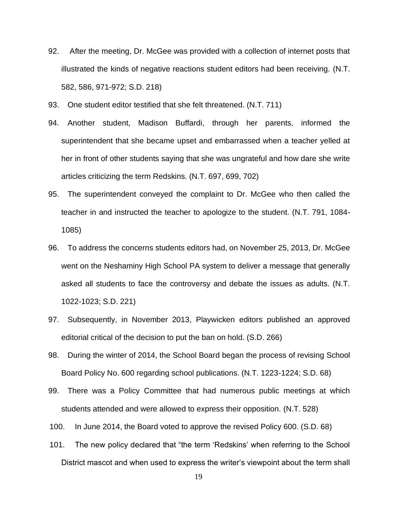- 92. After the meeting, Dr. McGee was provided with a collection of internet posts that illustrated the kinds of negative reactions student editors had been receiving. (N.T. 582, 586, 971-972; S.D. 218)
- 93. One student editor testified that she felt threatened. (N.T. 711)
- 94. Another student, Madison Buffardi, through her parents, informed the superintendent that she became upset and embarrassed when a teacher yelled at her in front of other students saying that she was ungrateful and how dare she write articles criticizing the term Redskins. (N.T. 697, 699, 702)
- 95. The superintendent conveyed the complaint to Dr. McGee who then called the teacher in and instructed the teacher to apologize to the student. (N.T. 791, 1084- 1085)
- 96. To address the concerns students editors had, on November 25, 2013, Dr. McGee went on the Neshaminy High School PA system to deliver a message that generally asked all students to face the controversy and debate the issues as adults. (N.T. 1022-1023; S.D. 221)
- 97. Subsequently, in November 2013, Playwicken editors published an approved editorial critical of the decision to put the ban on hold. (S.D. 266)
- 98. During the winter of 2014, the School Board began the process of revising School Board Policy No. 600 regarding school publications. (N.T. 1223-1224; S.D. 68)
- 99. There was a Policy Committee that had numerous public meetings at which students attended and were allowed to express their opposition. (N.T. 528)
- 100. In June 2014, the Board voted to approve the revised Policy 600. (S.D. 68)
- 101. The new policy declared that "the term 'Redskins' when referring to the School District mascot and when used to express the writer's viewpoint about the term shall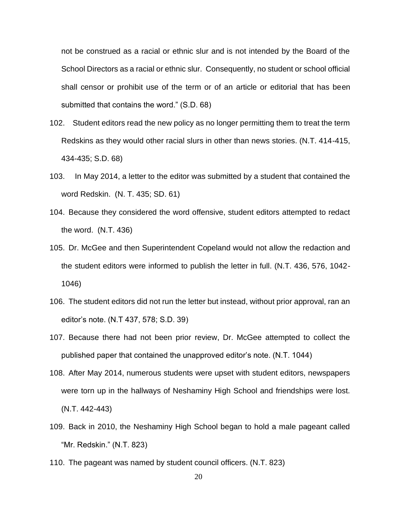not be construed as a racial or ethnic slur and is not intended by the Board of the School Directors as a racial or ethnic slur. Consequently, no student or school official shall censor or prohibit use of the term or of an article or editorial that has been submitted that contains the word." (S.D. 68)

- 102. Student editors read the new policy as no longer permitting them to treat the term Redskins as they would other racial slurs in other than news stories. (N.T. 414-415, 434-435; S.D. 68)
- 103. In May 2014, a letter to the editor was submitted by a student that contained the word Redskin. (N. T. 435; SD. 61)
- 104. Because they considered the word offensive, student editors attempted to redact the word. (N.T. 436)
- 105. Dr. McGee and then Superintendent Copeland would not allow the redaction and the student editors were informed to publish the letter in full. (N.T. 436, 576, 1042- 1046)
- 106. The student editors did not run the letter but instead, without prior approval, ran an editor's note. (N.T 437, 578; S.D. 39)
- 107. Because there had not been prior review, Dr. McGee attempted to collect the published paper that contained the unapproved editor's note. (N.T. 1044)
- 108. After May 2014, numerous students were upset with student editors, newspapers were torn up in the hallways of Neshaminy High School and friendships were lost. (N.T. 442-443)
- 109. Back in 2010, the Neshaminy High School began to hold a male pageant called "Mr. Redskin." (N.T. 823)
- 110. The pageant was named by student council officers. (N.T. 823)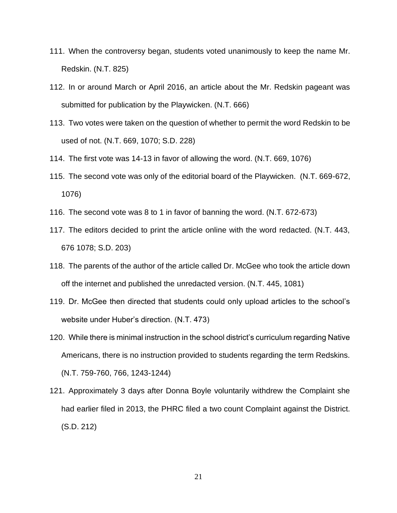- 111. When the controversy began, students voted unanimously to keep the name Mr. Redskin. (N.T. 825)
- 112. In or around March or April 2016, an article about the Mr. Redskin pageant was submitted for publication by the Playwicken. (N.T. 666)
- 113. Two votes were taken on the question of whether to permit the word Redskin to be used of not. (N.T. 669, 1070; S.D. 228)
- 114. The first vote was 14-13 in favor of allowing the word. (N.T. 669, 1076)
- 115. The second vote was only of the editorial board of the Playwicken. (N.T. 669-672, 1076)
- 116. The second vote was 8 to 1 in favor of banning the word. (N.T. 672-673)
- 117. The editors decided to print the article online with the word redacted. (N.T. 443, 676 1078; S.D. 203)
- 118. The parents of the author of the article called Dr. McGee who took the article down off the internet and published the unredacted version. (N.T. 445, 1081)
- 119. Dr. McGee then directed that students could only upload articles to the school's website under Huber's direction. (N.T. 473)
- 120. While there is minimal instruction in the school district's curriculum regarding Native Americans, there is no instruction provided to students regarding the term Redskins. (N.T. 759-760, 766, 1243-1244)
- 121. Approximately 3 days after Donna Boyle voluntarily withdrew the Complaint she had earlier filed in 2013, the PHRC filed a two count Complaint against the District. (S.D. 212)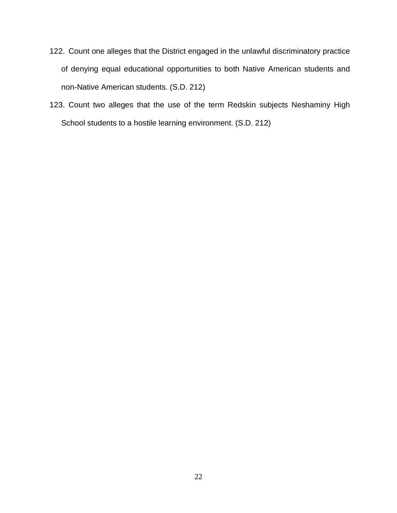- 122. Count one alleges that the District engaged in the unlawful discriminatory practice of denying equal educational opportunities to both Native American students and non-Native American students. (S.D. 212)
- 123. Count two alleges that the use of the term Redskin subjects Neshaminy High School students to a hostile learning environment. (S.D. 212)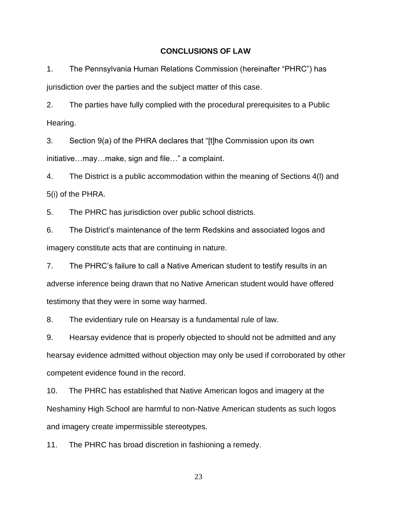#### **CONCLUSIONS OF LAW**

1. The Pennsylvania Human Relations Commission (hereinafter "PHRC") has jurisdiction over the parties and the subject matter of this case.

2. The parties have fully complied with the procedural prerequisites to a Public Hearing.

3. Section 9(a) of the PHRA declares that "[t]he Commission upon its own initiative…may…make, sign and file…" a complaint.

4. The District is a public accommodation within the meaning of Sections 4(l) and 5(i) of the PHRA.

5. The PHRC has jurisdiction over public school districts.

6. The District's maintenance of the term Redskins and associated logos and imagery constitute acts that are continuing in nature.

7. The PHRC's failure to call a Native American student to testify results in an adverse inference being drawn that no Native American student would have offered testimony that they were in some way harmed.

8. The evidentiary rule on Hearsay is a fundamental rule of law.

9. Hearsay evidence that is properly objected to should not be admitted and any hearsay evidence admitted without objection may only be used if corroborated by other competent evidence found in the record.

10. The PHRC has established that Native American logos and imagery at the Neshaminy High School are harmful to non-Native American students as such logos and imagery create impermissible stereotypes.

11. The PHRC has broad discretion in fashioning a remedy.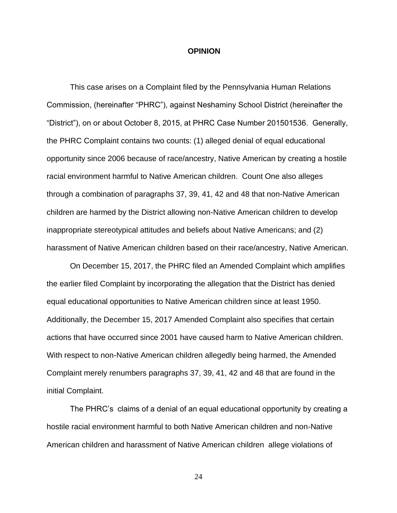#### **OPINION**

This case arises on a Complaint filed by the Pennsylvania Human Relations Commission, (hereinafter "PHRC"), against Neshaminy School District (hereinafter the "District"), on or about October 8, 2015, at PHRC Case Number 201501536. Generally, the PHRC Complaint contains two counts: (1) alleged denial of equal educational opportunity since 2006 because of race/ancestry, Native American by creating a hostile racial environment harmful to Native American children. Count One also alleges through a combination of paragraphs 37, 39, 41, 42 and 48 that non-Native American children are harmed by the District allowing non-Native American children to develop inappropriate stereotypical attitudes and beliefs about Native Americans; and (2) harassment of Native American children based on their race/ancestry, Native American.

On December 15, 2017, the PHRC filed an Amended Complaint which amplifies the earlier filed Complaint by incorporating the allegation that the District has denied equal educational opportunities to Native American children since at least 1950. Additionally, the December 15, 2017 Amended Complaint also specifies that certain actions that have occurred since 2001 have caused harm to Native American children. With respect to non-Native American children allegedly being harmed, the Amended Complaint merely renumbers paragraphs 37, 39, 41, 42 and 48 that are found in the initial Complaint.

The PHRC's claims of a denial of an equal educational opportunity by creating a hostile racial environment harmful to both Native American children and non-Native American children and harassment of Native American children allege violations of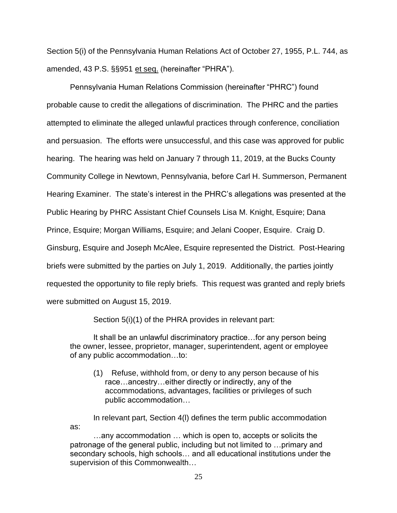Section 5(i) of the Pennsylvania Human Relations Act of October 27, 1955, P.L. 744, as amended, 43 P.S. §§951 et seq. (hereinafter "PHRA").

Pennsylvania Human Relations Commission (hereinafter "PHRC") found probable cause to credit the allegations of discrimination. The PHRC and the parties attempted to eliminate the alleged unlawful practices through conference, conciliation and persuasion. The efforts were unsuccessful, and this case was approved for public hearing. The hearing was held on January 7 through 11, 2019, at the Bucks County Community College in Newtown, Pennsylvania, before Carl H. Summerson, Permanent Hearing Examiner. The state's interest in the PHRC's allegations was presented at the Public Hearing by PHRC Assistant Chief Counsels Lisa M. Knight, Esquire; Dana Prince, Esquire; Morgan Williams, Esquire; and Jelani Cooper, Esquire. Craig D. Ginsburg, Esquire and Joseph McAlee, Esquire represented the District. Post-Hearing briefs were submitted by the parties on July 1, 2019. Additionally, the parties jointly requested the opportunity to file reply briefs. This request was granted and reply briefs were submitted on August 15, 2019.

Section 5(i)(1) of the PHRA provides in relevant part:

It shall be an unlawful discriminatory practice…for any person being the owner, lessee, proprietor, manager, superintendent, agent or employee of any public accommodation…to:

(1) Refuse, withhold from, or deny to any person because of his race…ancestry…either directly or indirectly, any of the accommodations, advantages, facilities or privileges of such public accommodation…

In relevant part, Section 4(l) defines the term public accommodation as:

…any accommodation … which is open to, accepts or solicits the patronage of the general public, including but not limited to …primary and secondary schools, high schools… and all educational institutions under the supervision of this Commonwealth…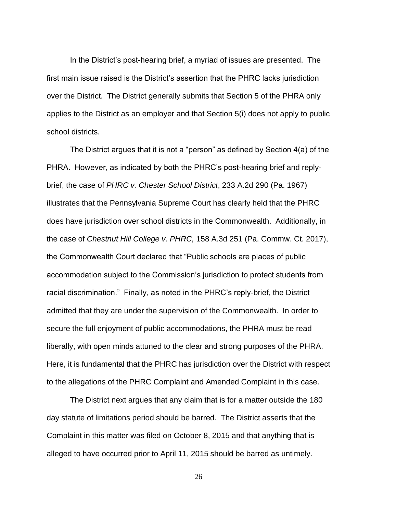In the District's post-hearing brief, a myriad of issues are presented. The first main issue raised is the District's assertion that the PHRC lacks jurisdiction over the District. The District generally submits that Section 5 of the PHRA only applies to the District as an employer and that Section 5(i) does not apply to public school districts.

The District argues that it is not a "person" as defined by Section 4(a) of the PHRA. However, as indicated by both the PHRC's post-hearing brief and replybrief, the case of *PHRC v. Chester School District*, 233 A.2d 290 (Pa. 1967) illustrates that the Pennsylvania Supreme Court has clearly held that the PHRC does have jurisdiction over school districts in the Commonwealth. Additionally, in the case of *Chestnut Hill College v. PHRC,* 158 A.3d 251 (Pa. Commw. Ct. 2017), the Commonwealth Court declared that "Public schools are places of public accommodation subject to the Commission's jurisdiction to protect students from racial discrimination." Finally, as noted in the PHRC's reply-brief, the District admitted that they are under the supervision of the Commonwealth. In order to secure the full enjoyment of public accommodations, the PHRA must be read liberally, with open minds attuned to the clear and strong purposes of the PHRA. Here, it is fundamental that the PHRC has jurisdiction over the District with respect to the allegations of the PHRC Complaint and Amended Complaint in this case.

The District next argues that any claim that is for a matter outside the 180 day statute of limitations period should be barred. The District asserts that the Complaint in this matter was filed on October 8, 2015 and that anything that is alleged to have occurred prior to April 11, 2015 should be barred as untimely.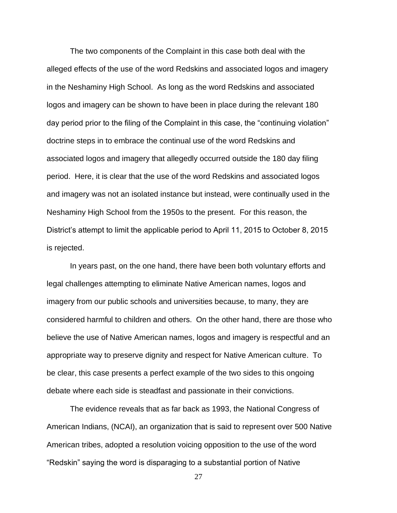The two components of the Complaint in this case both deal with the alleged effects of the use of the word Redskins and associated logos and imagery in the Neshaminy High School. As long as the word Redskins and associated logos and imagery can be shown to have been in place during the relevant 180 day period prior to the filing of the Complaint in this case, the "continuing violation" doctrine steps in to embrace the continual use of the word Redskins and associated logos and imagery that allegedly occurred outside the 180 day filing period. Here, it is clear that the use of the word Redskins and associated logos and imagery was not an isolated instance but instead, were continually used in the Neshaminy High School from the 1950s to the present. For this reason, the District's attempt to limit the applicable period to April 11, 2015 to October 8, 2015 is rejected.

In years past, on the one hand, there have been both voluntary efforts and legal challenges attempting to eliminate Native American names, logos and imagery from our public schools and universities because, to many, they are considered harmful to children and others. On the other hand, there are those who believe the use of Native American names, logos and imagery is respectful and an appropriate way to preserve dignity and respect for Native American culture. To be clear, this case presents a perfect example of the two sides to this ongoing debate where each side is steadfast and passionate in their convictions.

The evidence reveals that as far back as 1993, the National Congress of American Indians, (NCAI), an organization that is said to represent over 500 Native American tribes, adopted a resolution voicing opposition to the use of the word "Redskin" saying the word is disparaging to a substantial portion of Native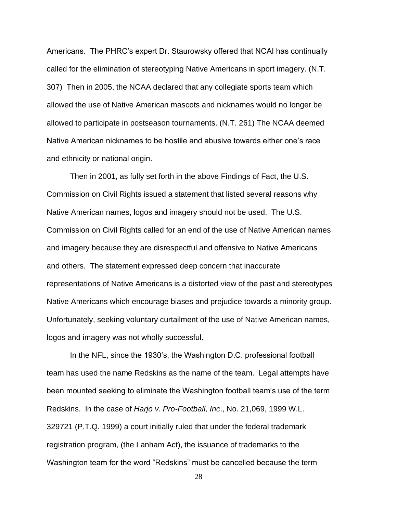Americans. The PHRC's expert Dr. Staurowsky offered that NCAI has continually called for the elimination of stereotyping Native Americans in sport imagery. (N.T. 307) Then in 2005, the NCAA declared that any collegiate sports team which allowed the use of Native American mascots and nicknames would no longer be allowed to participate in postseason tournaments. (N.T. 261) The NCAA deemed Native American nicknames to be hostile and abusive towards either one's race and ethnicity or national origin.

Then in 2001, as fully set forth in the above Findings of Fact, the U.S. Commission on Civil Rights issued a statement that listed several reasons why Native American names, logos and imagery should not be used. The U.S. Commission on Civil Rights called for an end of the use of Native American names and imagery because they are disrespectful and offensive to Native Americans and others. The statement expressed deep concern that inaccurate representations of Native Americans is a distorted view of the past and stereotypes Native Americans which encourage biases and prejudice towards a minority group. Unfortunately, seeking voluntary curtailment of the use of Native American names, logos and imagery was not wholly successful.

In the NFL, since the 1930's, the Washington D.C. professional football team has used the name Redskins as the name of the team. Legal attempts have been mounted seeking to eliminate the Washington football team's use of the term Redskins. In the case of *Harjo v. Pro-Football, Inc*., No. 21,069, 1999 W.L. 329721 (P.T.Q. 1999) a court initially ruled that under the federal trademark registration program, (the Lanham Act), the issuance of trademarks to the Washington team for the word "Redskins" must be cancelled because the term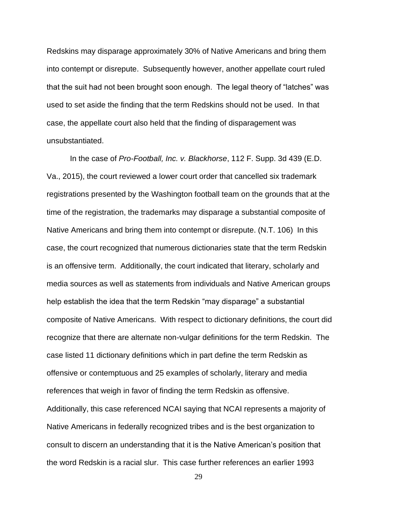Redskins may disparage approximately 30% of Native Americans and bring them into contempt or disrepute. Subsequently however, another appellate court ruled that the suit had not been brought soon enough. The legal theory of "latches" was used to set aside the finding that the term Redskins should not be used. In that case, the appellate court also held that the finding of disparagement was unsubstantiated.

In the case of *Pro-Football, Inc. v. Blackhorse*, 112 F. Supp. 3d 439 (E.D. Va., 2015), the court reviewed a lower court order that cancelled six trademark registrations presented by the Washington football team on the grounds that at the time of the registration, the trademarks may disparage a substantial composite of Native Americans and bring them into contempt or disrepute. (N.T. 106) In this case, the court recognized that numerous dictionaries state that the term Redskin is an offensive term. Additionally, the court indicated that literary, scholarly and media sources as well as statements from individuals and Native American groups help establish the idea that the term Redskin "may disparage" a substantial composite of Native Americans. With respect to dictionary definitions, the court did recognize that there are alternate non-vulgar definitions for the term Redskin. The case listed 11 dictionary definitions which in part define the term Redskin as offensive or contemptuous and 25 examples of scholarly, literary and media references that weigh in favor of finding the term Redskin as offensive. Additionally, this case referenced NCAI saying that NCAI represents a majority of Native Americans in federally recognized tribes and is the best organization to consult to discern an understanding that it is the Native American's position that the word Redskin is a racial slur. This case further references an earlier 1993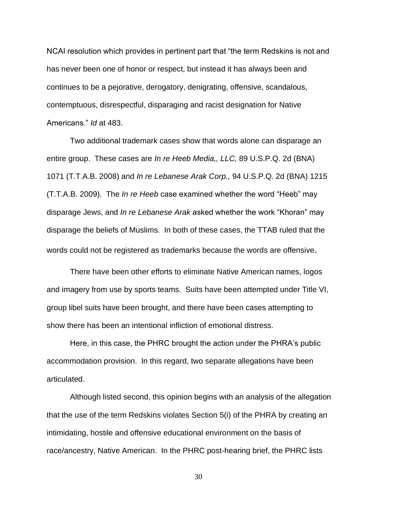NCAI resolution which provides in pertinent part that "the term Redskins is not and has never been one of honor or respect, but instead it has always been and continues to be a pejorative, derogatory, denigrating, offensive, scandalous, contemptuous, disrespectful, disparaging and racist designation for Native Americans." *Id* at 483.

Two additional trademark cases show that words alone can disparage an entire group. These cases are *In re Heeb Media,, LLC,* 89 U.S.P.Q. 2d (BNA) 1071 (T.T.A.B. 2008) and *In re Lebanese Arak Corp.,* 94 U.S.P.Q. 2d (BNA) 1215 (T.T.A.B. 2009). The *In re Heeb* case examined whether the word "Heeb" may disparage Jews, and *In re Lebanese Arak* asked whether the work "Khoran" may disparage the beliefs of Muslims. In both of these cases, the TTAB ruled that the words could not be registered as trademarks because the words are offensive.

There have been other efforts to eliminate Native American names, logos and imagery from use by sports teams. Suits have been attempted under Title VI, group libel suits have been brought, and there have been cases attempting to show there has been an intentional infliction of emotional distress.

Here, in this case, the PHRC brought the action under the PHRA's public accommodation provision. In this regard, two separate allegations have been articulated.

Although listed second, this opinion begins with an analysis of the allegation that the use of the term Redskins violates Section 5(i) of the PHRA by creating an intimidating, hostile and offensive educational environment on the basis of race/ancestry, Native American. In the PHRC post-hearing brief, the PHRC lists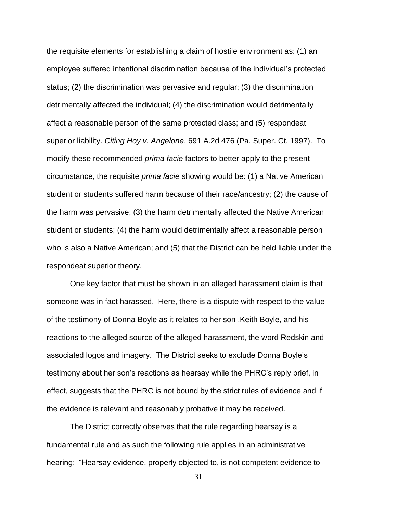the requisite elements for establishing a claim of hostile environment as: (1) an employee suffered intentional discrimination because of the individual's protected status; (2) the discrimination was pervasive and regular; (3) the discrimination detrimentally affected the individual; (4) the discrimination would detrimentally affect a reasonable person of the same protected class; and (5) respondeat superior liability. *Citing Hoy v. Angelone*, 691 A.2d 476 (Pa. Super. Ct. 1997). To modify these recommended *prima facie* factors to better apply to the present circumstance, the requisite *prima facie* showing would be: (1) a Native American student or students suffered harm because of their race/ancestry; (2) the cause of the harm was pervasive; (3) the harm detrimentally affected the Native American student or students; (4) the harm would detrimentally affect a reasonable person who is also a Native American; and (5) that the District can be held liable under the respondeat superior theory.

One key factor that must be shown in an alleged harassment claim is that someone was in fact harassed. Here, there is a dispute with respect to the value of the testimony of Donna Boyle as it relates to her son ,Keith Boyle, and his reactions to the alleged source of the alleged harassment, the word Redskin and associated logos and imagery. The District seeks to exclude Donna Boyle's testimony about her son's reactions as hearsay while the PHRC's reply brief, in effect, suggests that the PHRC is not bound by the strict rules of evidence and if the evidence is relevant and reasonably probative it may be received.

The District correctly observes that the rule regarding hearsay is a fundamental rule and as such the following rule applies in an administrative hearing: "Hearsay evidence, properly objected to, is not competent evidence to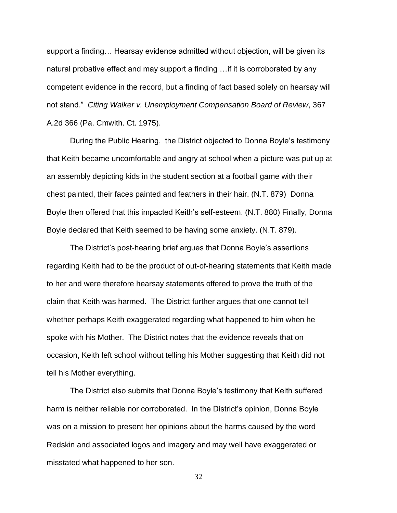support a finding… Hearsay evidence admitted without objection, will be given its natural probative effect and may support a finding …if it is corroborated by any competent evidence in the record, but a finding of fact based solely on hearsay will not stand." *Citing Walker v. Unemployment Compensation Board of Review*, 367 A.2d 366 (Pa. Cmwlth. Ct. 1975).

During the Public Hearing, the District objected to Donna Boyle's testimony that Keith became uncomfortable and angry at school when a picture was put up at an assembly depicting kids in the student section at a football game with their chest painted, their faces painted and feathers in their hair. (N.T. 879) Donna Boyle then offered that this impacted Keith's self-esteem. (N.T. 880) Finally, Donna Boyle declared that Keith seemed to be having some anxiety. (N.T. 879).

The District's post-hearing brief argues that Donna Boyle's assertions regarding Keith had to be the product of out-of-hearing statements that Keith made to her and were therefore hearsay statements offered to prove the truth of the claim that Keith was harmed. The District further argues that one cannot tell whether perhaps Keith exaggerated regarding what happened to him when he spoke with his Mother. The District notes that the evidence reveals that on occasion, Keith left school without telling his Mother suggesting that Keith did not tell his Mother everything.

The District also submits that Donna Boyle's testimony that Keith suffered harm is neither reliable nor corroborated. In the District's opinion, Donna Boyle was on a mission to present her opinions about the harms caused by the word Redskin and associated logos and imagery and may well have exaggerated or misstated what happened to her son.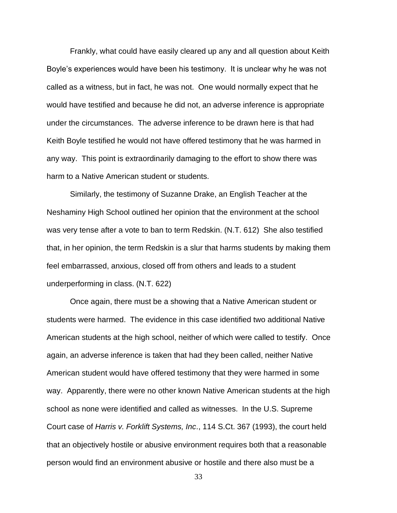Frankly, what could have easily cleared up any and all question about Keith Boyle's experiences would have been his testimony. It is unclear why he was not called as a witness, but in fact, he was not. One would normally expect that he would have testified and because he did not, an adverse inference is appropriate under the circumstances. The adverse inference to be drawn here is that had Keith Boyle testified he would not have offered testimony that he was harmed in any way. This point is extraordinarily damaging to the effort to show there was harm to a Native American student or students.

Similarly, the testimony of Suzanne Drake, an English Teacher at the Neshaminy High School outlined her opinion that the environment at the school was very tense after a vote to ban to term Redskin. (N.T. 612) She also testified that, in her opinion, the term Redskin is a slur that harms students by making them feel embarrassed, anxious, closed off from others and leads to a student underperforming in class. (N.T. 622)

Once again, there must be a showing that a Native American student or students were harmed. The evidence in this case identified two additional Native American students at the high school, neither of which were called to testify. Once again, an adverse inference is taken that had they been called, neither Native American student would have offered testimony that they were harmed in some way. Apparently, there were no other known Native American students at the high school as none were identified and called as witnesses. In the U.S. Supreme Court case of *Harris v. Forklift Systems, Inc*., 114 S.Ct. 367 (1993), the court held that an objectively hostile or abusive environment requires both that a reasonable person would find an environment abusive or hostile and there also must be a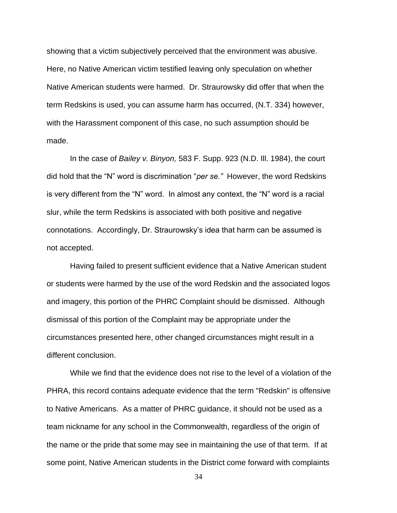showing that a victim subjectively perceived that the environment was abusive. Here, no Native American victim testified leaving only speculation on whether Native American students were harmed. Dr. Straurowsky did offer that when the term Redskins is used, you can assume harm has occurred, (N.T. 334) however, with the Harassment component of this case, no such assumption should be made.

In the case of *Bailey v. Binyon,* 583 F. Supp. 923 (N.D. Ill. 1984), the court did hold that the "N" word is discrimination "*per se."* However, the word Redskins is very different from the "N" word. In almost any context, the "N" word is a racial slur, while the term Redskins is associated with both positive and negative connotations. Accordingly, Dr. Straurowsky's idea that harm can be assumed is not accepted.

Having failed to present sufficient evidence that a Native American student or students were harmed by the use of the word Redskin and the associated logos and imagery, this portion of the PHRC Complaint should be dismissed. Although dismissal of this portion of the Complaint may be appropriate under the circumstances presented here, other changed circumstances might result in a different conclusion.

While we find that the evidence does not rise to the level of a violation of the PHRA, this record contains adequate evidence that the term "Redskin" is offensive to Native Americans. As a matter of PHRC guidance, it should not be used as a team nickname for any school in the Commonwealth, regardless of the origin of the name or the pride that some may see in maintaining the use of that term. If at some point, Native American students in the District come forward with complaints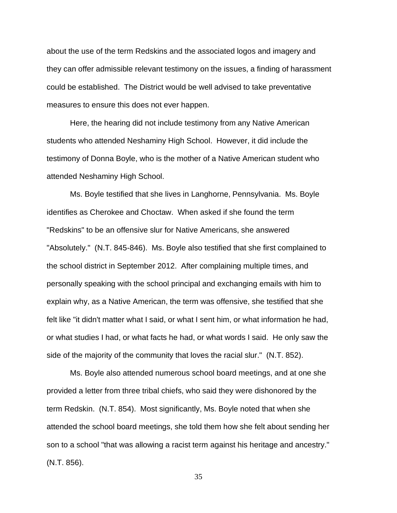about the use of the term Redskins and the associated logos and imagery and they can offer admissible relevant testimony on the issues, a finding of harassment could be established. The District would be well advised to take preventative measures to ensure this does not ever happen.

Here, the hearing did not include testimony from any Native American students who attended Neshaminy High School. However, it did include the testimony of Donna Boyle, who is the mother of a Native American student who attended Neshaminy High School.

Ms. Boyle testified that she lives in Langhorne, Pennsylvania. Ms. Boyle identifies as Cherokee and Choctaw. When asked if she found the term "Redskins" to be an offensive slur for Native Americans, she answered "Absolutely." (N.T. 845-846). Ms. Boyle also testified that she first complained to the school district in September 2012. After complaining multiple times, and personally speaking with the school principal and exchanging emails with him to explain why, as a Native American, the term was offensive, she testified that she felt like "it didn't matter what I said, or what I sent him, or what information he had, or what studies I had, or what facts he had, or what words I said. He only saw the side of the majority of the community that loves the racial slur." (N.T. 852).

Ms. Boyle also attended numerous school board meetings, and at one she provided a letter from three tribal chiefs, who said they were dishonored by the term Redskin. (N.T. 854). Most significantly, Ms. Boyle noted that when she attended the school board meetings, she told them how she felt about sending her son to a school "that was allowing a racist term against his heritage and ancestry." (N.T. 856).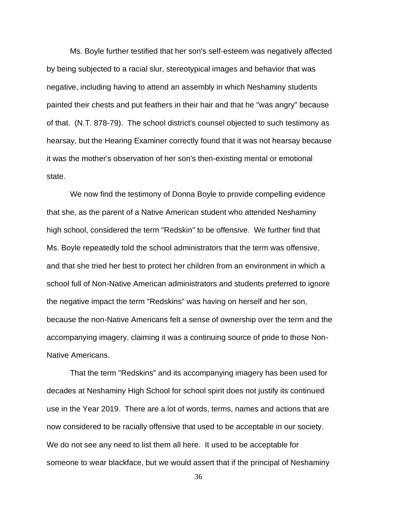Ms. Boyle further testified that her son's self-esteem was negatively affected by being subjected to a racial slur, stereotypical images and behavior that was negative, including having to attend an assembly in which Neshaminy students painted their chests and put feathers in their hair and that he "was angry" because of that. (N.T. 878-79). The school district's counsel objected to such testimony as hearsay, but the Hearing Examiner correctly found that it was not hearsay because it was the mother's observation of her son's then-existing mental or emotional state.

We now find the testimony of Donna Boyle to provide compelling evidence that she, as the parent of a Native American student who attended Neshaminy high school, considered the term "Redskin" to be offensive. We further find that Ms. Boyle repeatedly told the school administrators that the term was offensive, and that she tried her best to protect her children from an environment in which a school full of Non-Native American administrators and students preferred to ignore the negative impact the term "Redskins" was having on herself and her son, because the non-Native Americans felt a sense of ownership over the term and the accompanying imagery, claiming it was a continuing source of pride to those Non-Native Americans.

That the term "Redskins" and its accompanying imagery has been used for decades at Neshaminy High School for school spirit does not justify its continued use in the Year 2019. There are a lot of words, terms, names and actions that are now considered to be racially offensive that used to be acceptable in our society. We do not see any need to list them all here. It used to be acceptable for someone to wear blackface, but we would assert that if the principal of Neshaminy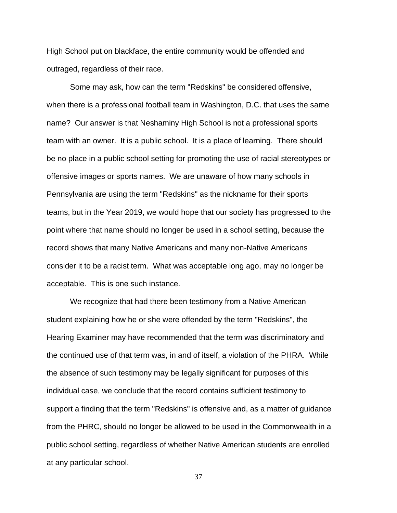High School put on blackface, the entire community would be offended and outraged, regardless of their race.

Some may ask, how can the term "Redskins" be considered offensive, when there is a professional football team in Washington, D.C. that uses the same name? Our answer is that Neshaminy High School is not a professional sports team with an owner. It is a public school. It is a place of learning. There should be no place in a public school setting for promoting the use of racial stereotypes or offensive images or sports names. We are unaware of how many schools in Pennsylvania are using the term "Redskins" as the nickname for their sports teams, but in the Year 2019, we would hope that our society has progressed to the point where that name should no longer be used in a school setting, because the record shows that many Native Americans and many non-Native Americans consider it to be a racist term. What was acceptable long ago, may no longer be acceptable. This is one such instance.

We recognize that had there been testimony from a Native American student explaining how he or she were offended by the term "Redskins", the Hearing Examiner may have recommended that the term was discriminatory and the continued use of that term was, in and of itself, a violation of the PHRA. While the absence of such testimony may be legally significant for purposes of this individual case, we conclude that the record contains sufficient testimony to support a finding that the term "Redskins" is offensive and, as a matter of guidance from the PHRC, should no longer be allowed to be used in the Commonwealth in a public school setting, regardless of whether Native American students are enrolled at any particular school.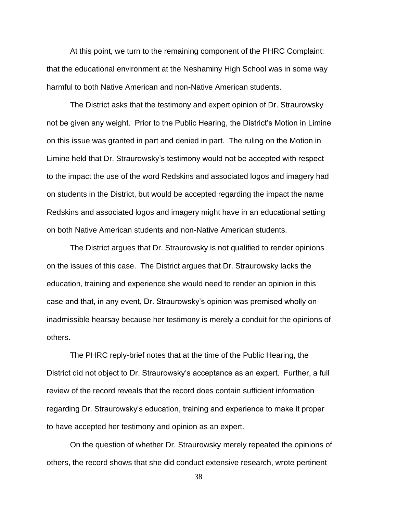At this point, we turn to the remaining component of the PHRC Complaint: that the educational environment at the Neshaminy High School was in some way harmful to both Native American and non-Native American students.

The District asks that the testimony and expert opinion of Dr. Straurowsky not be given any weight. Prior to the Public Hearing, the District's Motion in Limine on this issue was granted in part and denied in part. The ruling on the Motion in Limine held that Dr. Straurowsky's testimony would not be accepted with respect to the impact the use of the word Redskins and associated logos and imagery had on students in the District, but would be accepted regarding the impact the name Redskins and associated logos and imagery might have in an educational setting on both Native American students and non-Native American students.

The District argues that Dr. Straurowsky is not qualified to render opinions on the issues of this case. The District argues that Dr. Straurowsky lacks the education, training and experience she would need to render an opinion in this case and that, in any event, Dr. Straurowsky's opinion was premised wholly on inadmissible hearsay because her testimony is merely a conduit for the opinions of others.

The PHRC reply-brief notes that at the time of the Public Hearing, the District did not object to Dr. Straurowsky's acceptance as an expert. Further, a full review of the record reveals that the record does contain sufficient information regarding Dr. Straurowsky's education, training and experience to make it proper to have accepted her testimony and opinion as an expert.

On the question of whether Dr. Straurowsky merely repeated the opinions of others, the record shows that she did conduct extensive research, wrote pertinent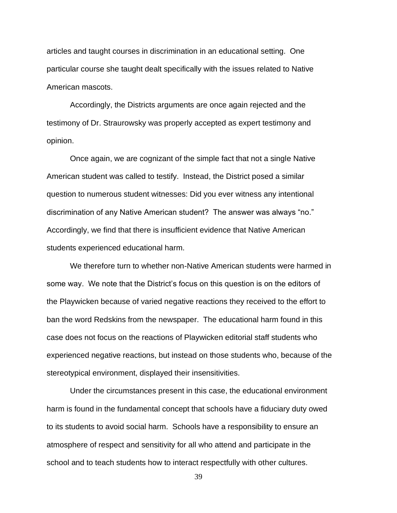articles and taught courses in discrimination in an educational setting. One particular course she taught dealt specifically with the issues related to Native American mascots.

Accordingly, the Districts arguments are once again rejected and the testimony of Dr. Straurowsky was properly accepted as expert testimony and opinion.

Once again, we are cognizant of the simple fact that not a single Native American student was called to testify. Instead, the District posed a similar question to numerous student witnesses: Did you ever witness any intentional discrimination of any Native American student? The answer was always "no." Accordingly, we find that there is insufficient evidence that Native American students experienced educational harm.

We therefore turn to whether non-Native American students were harmed in some way. We note that the District's focus on this question is on the editors of the Playwicken because of varied negative reactions they received to the effort to ban the word Redskins from the newspaper. The educational harm found in this case does not focus on the reactions of Playwicken editorial staff students who experienced negative reactions, but instead on those students who, because of the stereotypical environment, displayed their insensitivities.

Under the circumstances present in this case, the educational environment harm is found in the fundamental concept that schools have a fiduciary duty owed to its students to avoid social harm. Schools have a responsibility to ensure an atmosphere of respect and sensitivity for all who attend and participate in the school and to teach students how to interact respectfully with other cultures.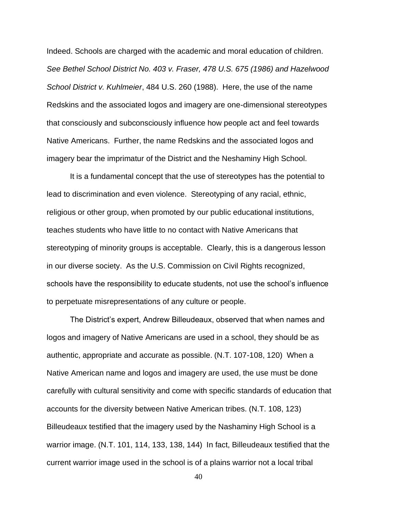Indeed. Schools are charged with the academic and moral education of children. *See Bethel School District No. 403 v. Fraser, 478 U.S. 675 (1986) and Hazelwood School District v. Kuhlmeier*, 484 U.S. 260 (1988). Here, the use of the name Redskins and the associated logos and imagery are one-dimensional stereotypes that consciously and subconsciously influence how people act and feel towards Native Americans. Further, the name Redskins and the associated logos and imagery bear the imprimatur of the District and the Neshaminy High School.

It is a fundamental concept that the use of stereotypes has the potential to lead to discrimination and even violence. Stereotyping of any racial, ethnic, religious or other group, when promoted by our public educational institutions, teaches students who have little to no contact with Native Americans that stereotyping of minority groups is acceptable. Clearly, this is a dangerous lesson in our diverse society. As the U.S. Commission on Civil Rights recognized, schools have the responsibility to educate students, not use the school's influence to perpetuate misrepresentations of any culture or people.

The District's expert, Andrew Billeudeaux, observed that when names and logos and imagery of Native Americans are used in a school, they should be as authentic, appropriate and accurate as possible. (N.T. 107-108, 120) When a Native American name and logos and imagery are used, the use must be done carefully with cultural sensitivity and come with specific standards of education that accounts for the diversity between Native American tribes. (N.T. 108, 123) Billeudeaux testified that the imagery used by the Nashaminy High School is a warrior image. (N.T. 101, 114, 133, 138, 144) In fact, Billeudeaux testified that the current warrior image used in the school is of a plains warrior not a local tribal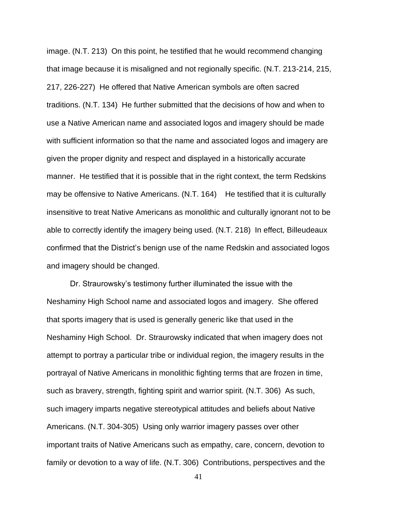image. (N.T. 213) On this point, he testified that he would recommend changing that image because it is misaligned and not regionally specific. (N.T. 213-214, 215, 217, 226-227) He offered that Native American symbols are often sacred traditions. (N.T. 134) He further submitted that the decisions of how and when to use a Native American name and associated logos and imagery should be made with sufficient information so that the name and associated logos and imagery are given the proper dignity and respect and displayed in a historically accurate manner. He testified that it is possible that in the right context, the term Redskins may be offensive to Native Americans. (N.T. 164) He testified that it is culturally insensitive to treat Native Americans as monolithic and culturally ignorant not to be able to correctly identify the imagery being used. (N.T. 218) In effect, Billeudeaux confirmed that the District's benign use of the name Redskin and associated logos and imagery should be changed.

Dr. Straurowsky's testimony further illuminated the issue with the Neshaminy High School name and associated logos and imagery. She offered that sports imagery that is used is generally generic like that used in the Neshaminy High School. Dr. Straurowsky indicated that when imagery does not attempt to portray a particular tribe or individual region, the imagery results in the portrayal of Native Americans in monolithic fighting terms that are frozen in time, such as bravery, strength, fighting spirit and warrior spirit. (N.T. 306) As such, such imagery imparts negative stereotypical attitudes and beliefs about Native Americans. (N.T. 304-305) Using only warrior imagery passes over other important traits of Native Americans such as empathy, care, concern, devotion to family or devotion to a way of life. (N.T. 306) Contributions, perspectives and the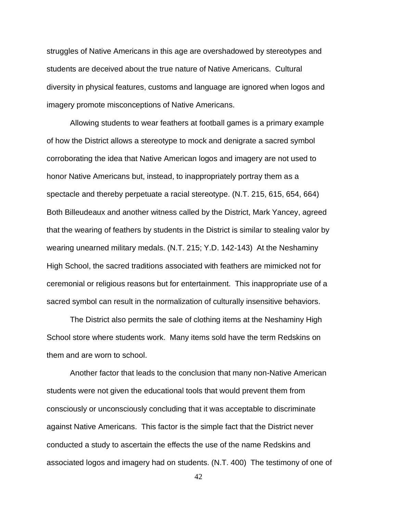struggles of Native Americans in this age are overshadowed by stereotypes and students are deceived about the true nature of Native Americans. Cultural diversity in physical features, customs and language are ignored when logos and imagery promote misconceptions of Native Americans.

Allowing students to wear feathers at football games is a primary example of how the District allows a stereotype to mock and denigrate a sacred symbol corroborating the idea that Native American logos and imagery are not used to honor Native Americans but, instead, to inappropriately portray them as a spectacle and thereby perpetuate a racial stereotype. (N.T. 215, 615, 654, 664) Both Billeudeaux and another witness called by the District, Mark Yancey, agreed that the wearing of feathers by students in the District is similar to stealing valor by wearing unearned military medals. (N.T. 215; Y.D. 142-143) At the Neshaminy High School, the sacred traditions associated with feathers are mimicked not for ceremonial or religious reasons but for entertainment. This inappropriate use of a sacred symbol can result in the normalization of culturally insensitive behaviors.

The District also permits the sale of clothing items at the Neshaminy High School store where students work. Many items sold have the term Redskins on them and are worn to school.

Another factor that leads to the conclusion that many non-Native American students were not given the educational tools that would prevent them from consciously or unconsciously concluding that it was acceptable to discriminate against Native Americans. This factor is the simple fact that the District never conducted a study to ascertain the effects the use of the name Redskins and associated logos and imagery had on students. (N.T. 400) The testimony of one of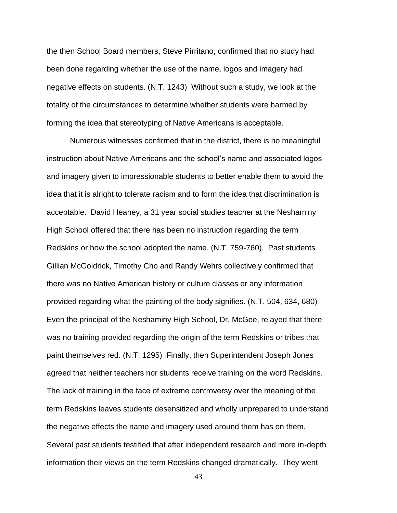the then School Board members, Steve Pirritano, confirmed that no study had been done regarding whether the use of the name, logos and imagery had negative effects on students. (N.T. 1243) Without such a study, we look at the totality of the circumstances to determine whether students were harmed by forming the idea that stereotyping of Native Americans is acceptable.

Numerous witnesses confirmed that in the district, there is no meaningful instruction about Native Americans and the school's name and associated logos and imagery given to impressionable students to better enable them to avoid the idea that it is alright to tolerate racism and to form the idea that discrimination is acceptable. David Heaney, a 31 year social studies teacher at the Neshaminy High School offered that there has been no instruction regarding the term Redskins or how the school adopted the name. (N.T. 759-760). Past students Gillian McGoldrick, Timothy Cho and Randy Wehrs collectively confirmed that there was no Native American history or culture classes or any information provided regarding what the painting of the body signifies. (N.T. 504, 634, 680) Even the principal of the Neshaminy High School, Dr. McGee, relayed that there was no training provided regarding the origin of the term Redskins or tribes that paint themselves red. (N.T. 1295) Finally, then Superintendent Joseph Jones agreed that neither teachers nor students receive training on the word Redskins. The lack of training in the face of extreme controversy over the meaning of the term Redskins leaves students desensitized and wholly unprepared to understand the negative effects the name and imagery used around them has on them. Several past students testified that after independent research and more in-depth information their views on the term Redskins changed dramatically. They went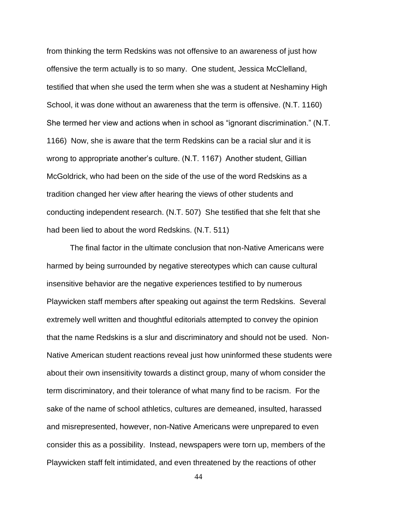from thinking the term Redskins was not offensive to an awareness of just how offensive the term actually is to so many. One student, Jessica McClelland, testified that when she used the term when she was a student at Neshaminy High School, it was done without an awareness that the term is offensive. (N.T. 1160) She termed her view and actions when in school as "ignorant discrimination." (N.T. 1166) Now, she is aware that the term Redskins can be a racial slur and it is wrong to appropriate another's culture. (N.T. 1167) Another student, Gillian McGoldrick, who had been on the side of the use of the word Redskins as a tradition changed her view after hearing the views of other students and conducting independent research. (N.T. 507) She testified that she felt that she had been lied to about the word Redskins. (N.T. 511)

The final factor in the ultimate conclusion that non-Native Americans were harmed by being surrounded by negative stereotypes which can cause cultural insensitive behavior are the negative experiences testified to by numerous Playwicken staff members after speaking out against the term Redskins. Several extremely well written and thoughtful editorials attempted to convey the opinion that the name Redskins is a slur and discriminatory and should not be used. Non-Native American student reactions reveal just how uninformed these students were about their own insensitivity towards a distinct group, many of whom consider the term discriminatory, and their tolerance of what many find to be racism. For the sake of the name of school athletics, cultures are demeaned, insulted, harassed and misrepresented, however, non-Native Americans were unprepared to even consider this as a possibility. Instead, newspapers were torn up, members of the Playwicken staff felt intimidated, and even threatened by the reactions of other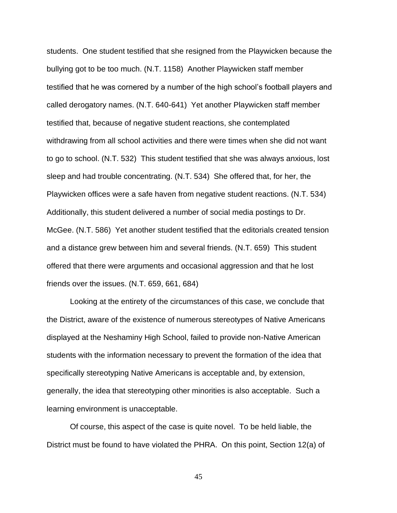students. One student testified that she resigned from the Playwicken because the bullying got to be too much. (N.T. 1158) Another Playwicken staff member testified that he was cornered by a number of the high school's football players and called derogatory names. (N.T. 640-641) Yet another Playwicken staff member testified that, because of negative student reactions, she contemplated withdrawing from all school activities and there were times when she did not want to go to school. (N.T. 532) This student testified that she was always anxious, lost sleep and had trouble concentrating. (N.T. 534) She offered that, for her, the Playwicken offices were a safe haven from negative student reactions. (N.T. 534) Additionally, this student delivered a number of social media postings to Dr. McGee. (N.T. 586) Yet another student testified that the editorials created tension and a distance grew between him and several friends. (N.T. 659) This student offered that there were arguments and occasional aggression and that he lost friends over the issues. (N.T. 659, 661, 684)

Looking at the entirety of the circumstances of this case, we conclude that the District, aware of the existence of numerous stereotypes of Native Americans displayed at the Neshaminy High School, failed to provide non-Native American students with the information necessary to prevent the formation of the idea that specifically stereotyping Native Americans is acceptable and, by extension, generally, the idea that stereotyping other minorities is also acceptable. Such a learning environment is unacceptable.

Of course, this aspect of the case is quite novel. To be held liable, the District must be found to have violated the PHRA. On this point, Section 12(a) of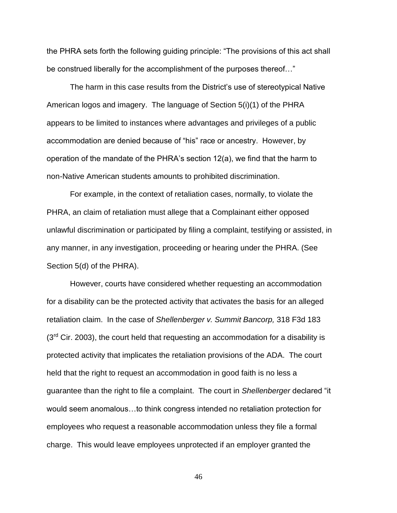the PHRA sets forth the following guiding principle: "The provisions of this act shall be construed liberally for the accomplishment of the purposes thereof…"

The harm in this case results from the District's use of stereotypical Native American logos and imagery. The language of Section 5(i)(1) of the PHRA appears to be limited to instances where advantages and privileges of a public accommodation are denied because of "his" race or ancestry. However, by operation of the mandate of the PHRA's section 12(a), we find that the harm to non-Native American students amounts to prohibited discrimination.

For example, in the context of retaliation cases, normally, to violate the PHRA, an claim of retaliation must allege that a Complainant either opposed unlawful discrimination or participated by filing a complaint, testifying or assisted, in any manner, in any investigation, proceeding or hearing under the PHRA. (See Section 5(d) of the PHRA).

However, courts have considered whether requesting an accommodation for a disability can be the protected activity that activates the basis for an alleged retaliation claim. In the case of *Shellenberger v. Summit Bancorp,* 318 F3d 183  $(3<sup>rd</sup>$  Cir. 2003), the court held that requesting an accommodation for a disability is protected activity that implicates the retaliation provisions of the ADA. The court held that the right to request an accommodation in good faith is no less a guarantee than the right to file a complaint. The court in *Shellenberger* declared "it would seem anomalous…to think congress intended no retaliation protection for employees who request a reasonable accommodation unless they file a formal charge. This would leave employees unprotected if an employer granted the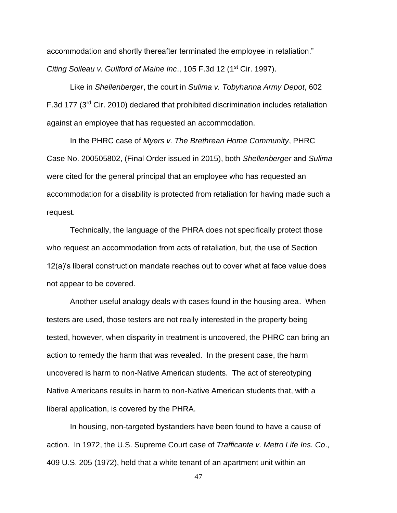accommodation and shortly thereafter terminated the employee in retaliation." *Citing Soileau v. Guilford of Maine Inc.*, 105 F.3d 12 (1<sup>st</sup> Cir. 1997).

Like in *Shellenberger*, the court in *Sulima v. Tobyhanna Army Depot*, 602 F.3d 177 (3rd Cir. 2010) declared that prohibited discrimination includes retaliation against an employee that has requested an accommodation.

In the PHRC case of *Myers v. The Brethrean Home Community*, PHRC Case No. 200505802, (Final Order issued in 2015), both *Shellenberger* and *Sulima* were cited for the general principal that an employee who has requested an accommodation for a disability is protected from retaliation for having made such a request.

Technically, the language of the PHRA does not specifically protect those who request an accommodation from acts of retaliation, but, the use of Section 12(a)'s liberal construction mandate reaches out to cover what at face value does not appear to be covered.

Another useful analogy deals with cases found in the housing area. When testers are used, those testers are not really interested in the property being tested, however, when disparity in treatment is uncovered, the PHRC can bring an action to remedy the harm that was revealed. In the present case, the harm uncovered is harm to non-Native American students. The act of stereotyping Native Americans results in harm to non-Native American students that, with a liberal application, is covered by the PHRA.

In housing, non-targeted bystanders have been found to have a cause of action. In 1972, the U.S. Supreme Court case of *Trafficante v. Metro Life Ins. Co*., 409 U.S. 205 (1972), held that a white tenant of an apartment unit within an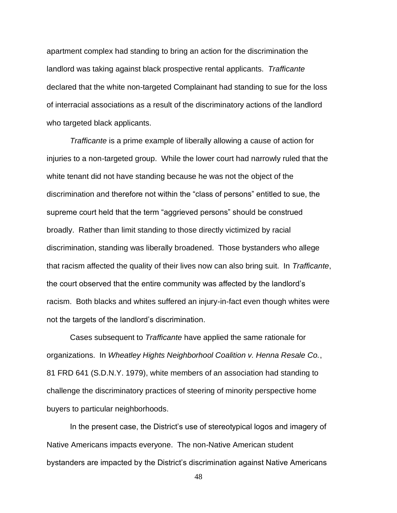apartment complex had standing to bring an action for the discrimination the landlord was taking against black prospective rental applicants. *Trafficante* declared that the white non-targeted Complainant had standing to sue for the loss of interracial associations as a result of the discriminatory actions of the landlord who targeted black applicants.

*Trafficante* is a prime example of liberally allowing a cause of action for injuries to a non-targeted group. While the lower court had narrowly ruled that the white tenant did not have standing because he was not the object of the discrimination and therefore not within the "class of persons" entitled to sue, the supreme court held that the term "aggrieved persons" should be construed broadly. Rather than limit standing to those directly victimized by racial discrimination, standing was liberally broadened. Those bystanders who allege that racism affected the quality of their lives now can also bring suit. In *Trafficante*, the court observed that the entire community was affected by the landlord's racism. Both blacks and whites suffered an injury-in-fact even though whites were not the targets of the landlord's discrimination.

Cases subsequent to *Trafficante* have applied the same rationale for organizations. In *Wheatley Hights Neighborhool Coalition v. Henna Resale Co.*, 81 FRD 641 (S.D.N.Y. 1979), white members of an association had standing to challenge the discriminatory practices of steering of minority perspective home buyers to particular neighborhoods.

In the present case, the District's use of stereotypical logos and imagery of Native Americans impacts everyone. The non-Native American student bystanders are impacted by the District's discrimination against Native Americans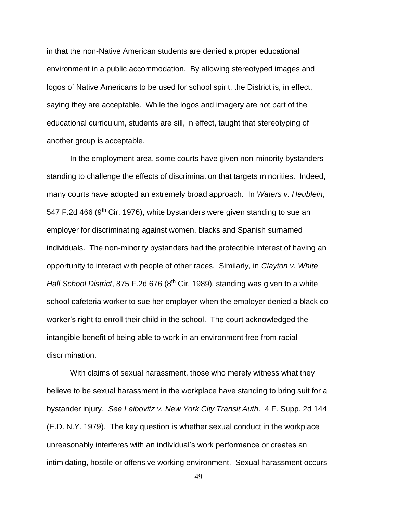in that the non-Native American students are denied a proper educational environment in a public accommodation. By allowing stereotyped images and logos of Native Americans to be used for school spirit, the District is, in effect, saying they are acceptable. While the logos and imagery are not part of the educational curriculum, students are sill, in effect, taught that stereotyping of another group is acceptable.

In the employment area, some courts have given non-minority bystanders standing to challenge the effects of discrimination that targets minorities. Indeed, many courts have adopted an extremely broad approach. In *Waters v. Heublein*, 547 F.2d 466 (9<sup>th</sup> Cir. 1976), white bystanders were given standing to sue an employer for discriminating against women, blacks and Spanish surnamed individuals. The non-minority bystanders had the protectible interest of having an opportunity to interact with people of other races. Similarly, in *Clayton v. White Hall School District*, 875 F.2d 676 (8<sup>th</sup> Cir. 1989), standing was given to a white school cafeteria worker to sue her employer when the employer denied a black coworker's right to enroll their child in the school. The court acknowledged the intangible benefit of being able to work in an environment free from racial discrimination.

With claims of sexual harassment, those who merely witness what they believe to be sexual harassment in the workplace have standing to bring suit for a bystander injury. *See Leibovitz v. New York City Transit Auth*. 4 F. Supp. 2d 144 (E.D. N.Y. 1979). The key question is whether sexual conduct in the workplace unreasonably interferes with an individual's work performance or creates an intimidating, hostile or offensive working environment. Sexual harassment occurs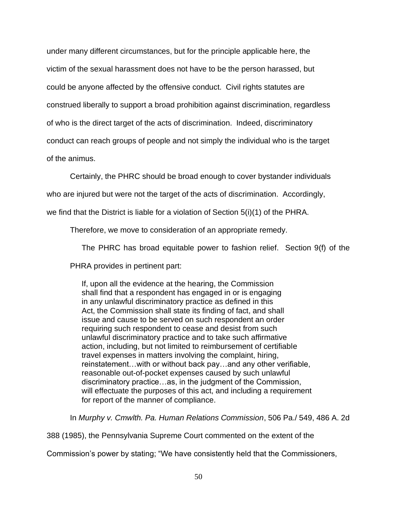under many different circumstances, but for the principle applicable here, the victim of the sexual harassment does not have to be the person harassed, but could be anyone affected by the offensive conduct. Civil rights statutes are construed liberally to support a broad prohibition against discrimination, regardless of who is the direct target of the acts of discrimination. Indeed, discriminatory conduct can reach groups of people and not simply the individual who is the target of the animus.

Certainly, the PHRC should be broad enough to cover bystander individuals

who are injured but were not the target of the acts of discrimination. Accordingly,

we find that the District is liable for a violation of Section 5(i)(1) of the PHRA.

Therefore, we move to consideration of an appropriate remedy.

The PHRC has broad equitable power to fashion relief. Section 9(f) of the

PHRA provides in pertinent part:

If, upon all the evidence at the hearing, the Commission shall find that a respondent has engaged in or is engaging in any unlawful discriminatory practice as defined in this Act, the Commission shall state its finding of fact, and shall issue and cause to be served on such respondent an order requiring such respondent to cease and desist from such unlawful discriminatory practice and to take such affirmative action, including, but not limited to reimbursement of certifiable travel expenses in matters involving the complaint, hiring, reinstatement…with or without back pay…and any other verifiable, reasonable out-of-pocket expenses caused by such unlawful discriminatory practice…as, in the judgment of the Commission, will effectuate the purposes of this act, and including a requirement for report of the manner of compliance.

In *Murphy v. Cmwlth. Pa. Human Relations Commission*, 506 Pa./ 549, 486 A. 2d

388 (1985), the Pennsylvania Supreme Court commented on the extent of the

Commission's power by stating; "We have consistently held that the Commissioners,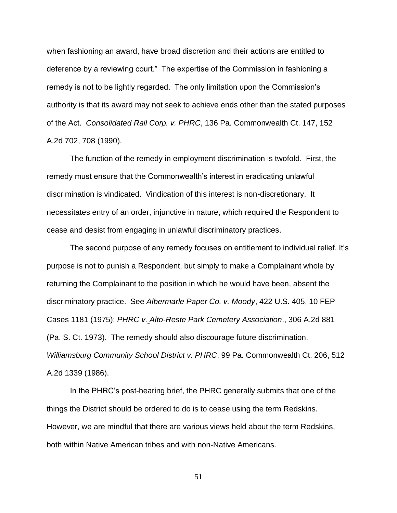when fashioning an award, have broad discretion and their actions are entitled to deference by a reviewing court." The expertise of the Commission in fashioning a remedy is not to be lightly regarded. The only limitation upon the Commission's authority is that its award may not seek to achieve ends other than the stated purposes of the Act. *Consolidated Rail Corp. v. PHRC*, 136 Pa. Commonwealth Ct. 147, 152 A.2d 702, 708 (1990).

The function of the remedy in employment discrimination is twofold. First, the remedy must ensure that the Commonwealth's interest in eradicating unlawful discrimination is vindicated. Vindication of this interest is non-discretionary. It necessitates entry of an order, injunctive in nature, which required the Respondent to cease and desist from engaging in unlawful discriminatory practices.

The second purpose of any remedy focuses on entitlement to individual relief. It's purpose is not to punish a Respondent, but simply to make a Complainant whole by returning the Complainant to the position in which he would have been, absent the discriminatory practice. See *Albermarle Paper Co. v. Moody*, 422 U.S. 405, 10 FEP Cases 1181 (1975); *PHRC v. Alto-Reste Park Cemetery Association*., 306 A.2d 881 (Pa. S. Ct. 1973). The remedy should also discourage future discrimination. *Williamsburg Community School District v. PHRC*, 99 Pa. Commonwealth Ct. 206, 512 A.2d 1339 (1986).

In the PHRC's post-hearing brief, the PHRC generally submits that one of the things the District should be ordered to do is to cease using the term Redskins. However, we are mindful that there are various views held about the term Redskins, both within Native American tribes and with non-Native Americans.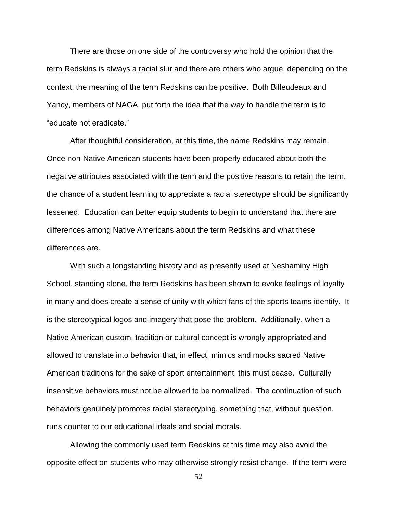There are those on one side of the controversy who hold the opinion that the term Redskins is always a racial slur and there are others who argue, depending on the context, the meaning of the term Redskins can be positive. Both Billeudeaux and Yancy, members of NAGA, put forth the idea that the way to handle the term is to "educate not eradicate."

After thoughtful consideration, at this time, the name Redskins may remain. Once non-Native American students have been properly educated about both the negative attributes associated with the term and the positive reasons to retain the term, the chance of a student learning to appreciate a racial stereotype should be significantly lessened. Education can better equip students to begin to understand that there are differences among Native Americans about the term Redskins and what these differences are.

With such a longstanding history and as presently used at Neshaminy High School, standing alone, the term Redskins has been shown to evoke feelings of loyalty in many and does create a sense of unity with which fans of the sports teams identify. It is the stereotypical logos and imagery that pose the problem. Additionally, when a Native American custom, tradition or cultural concept is wrongly appropriated and allowed to translate into behavior that, in effect, mimics and mocks sacred Native American traditions for the sake of sport entertainment, this must cease. Culturally insensitive behaviors must not be allowed to be normalized. The continuation of such behaviors genuinely promotes racial stereotyping, something that, without question, runs counter to our educational ideals and social morals.

Allowing the commonly used term Redskins at this time may also avoid the opposite effect on students who may otherwise strongly resist change. If the term were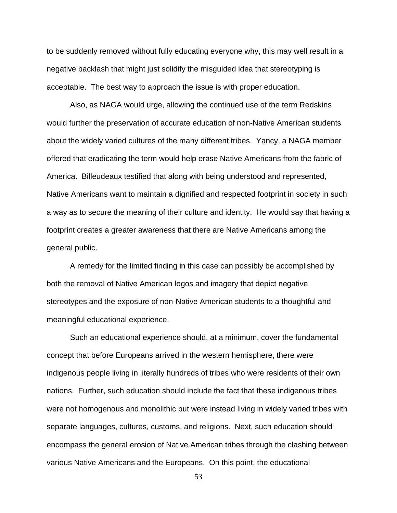to be suddenly removed without fully educating everyone why, this may well result in a negative backlash that might just solidify the misguided idea that stereotyping is acceptable. The best way to approach the issue is with proper education.

Also, as NAGA would urge, allowing the continued use of the term Redskins would further the preservation of accurate education of non-Native American students about the widely varied cultures of the many different tribes. Yancy, a NAGA member offered that eradicating the term would help erase Native Americans from the fabric of America. Billeudeaux testified that along with being understood and represented, Native Americans want to maintain a dignified and respected footprint in society in such a way as to secure the meaning of their culture and identity. He would say that having a footprint creates a greater awareness that there are Native Americans among the general public.

A remedy for the limited finding in this case can possibly be accomplished by both the removal of Native American logos and imagery that depict negative stereotypes and the exposure of non-Native American students to a thoughtful and meaningful educational experience.

Such an educational experience should, at a minimum, cover the fundamental concept that before Europeans arrived in the western hemisphere, there were indigenous people living in literally hundreds of tribes who were residents of their own nations. Further, such education should include the fact that these indigenous tribes were not homogenous and monolithic but were instead living in widely varied tribes with separate languages, cultures, customs, and religions. Next, such education should encompass the general erosion of Native American tribes through the clashing between various Native Americans and the Europeans. On this point, the educational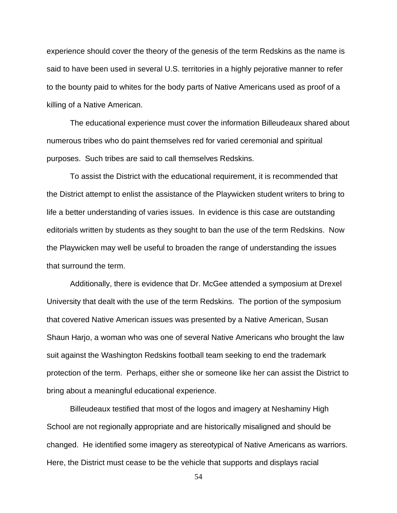experience should cover the theory of the genesis of the term Redskins as the name is said to have been used in several U.S. territories in a highly pejorative manner to refer to the bounty paid to whites for the body parts of Native Americans used as proof of a killing of a Native American.

The educational experience must cover the information Billeudeaux shared about numerous tribes who do paint themselves red for varied ceremonial and spiritual purposes. Such tribes are said to call themselves Redskins.

To assist the District with the educational requirement, it is recommended that the District attempt to enlist the assistance of the Playwicken student writers to bring to life a better understanding of varies issues. In evidence is this case are outstanding editorials written by students as they sought to ban the use of the term Redskins. Now the Playwicken may well be useful to broaden the range of understanding the issues that surround the term.

Additionally, there is evidence that Dr. McGee attended a symposium at Drexel University that dealt with the use of the term Redskins. The portion of the symposium that covered Native American issues was presented by a Native American, Susan Shaun Harjo, a woman who was one of several Native Americans who brought the law suit against the Washington Redskins football team seeking to end the trademark protection of the term. Perhaps, either she or someone like her can assist the District to bring about a meaningful educational experience.

Billeudeaux testified that most of the logos and imagery at Neshaminy High School are not regionally appropriate and are historically misaligned and should be changed. He identified some imagery as stereotypical of Native Americans as warriors. Here, the District must cease to be the vehicle that supports and displays racial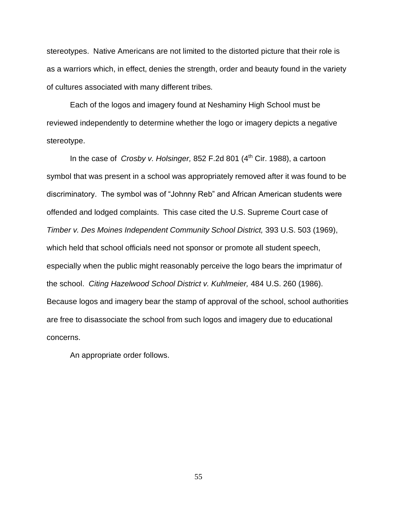stereotypes. Native Americans are not limited to the distorted picture that their role is as a warriors which, in effect, denies the strength, order and beauty found in the variety of cultures associated with many different tribes.

Each of the logos and imagery found at Neshaminy High School must be reviewed independently to determine whether the logo or imagery depicts a negative stereotype.

In the case of *Crosby v. Holsinger*, 852 F.2d 801 (4<sup>th</sup> Cir. 1988), a cartoon symbol that was present in a school was appropriately removed after it was found to be discriminatory. The symbol was of "Johnny Reb" and African American students were offended and lodged complaints. This case cited the U.S. Supreme Court case of *Timber v. Des Moines Independent Community School District,* 393 U.S. 503 (1969), which held that school officials need not sponsor or promote all student speech, especially when the public might reasonably perceive the logo bears the imprimatur of the school. *Citing Hazelwood School District v. Kuhlmeier,* 484 U.S. 260 (1986). Because logos and imagery bear the stamp of approval of the school, school authorities are free to disassociate the school from such logos and imagery due to educational concerns.

An appropriate order follows.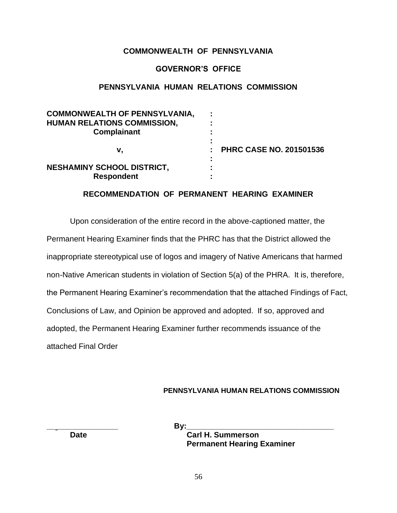### **COMMONWEALTH OF PENNSYLVANIA**

### **GOVERNOR'S OFFICE**

### **PENNSYLVANIA HUMAN RELATIONS COMMISSION**

| <b>COMMONWEALTH OF PENNSYLVANIA,</b> |                                |
|--------------------------------------|--------------------------------|
| <b>HUMAN RELATIONS COMMISSION,</b>   |                                |
| Complainant                          |                                |
| ν.                                   | <b>PHRC CASE NO. 201501536</b> |
| <b>NESHAMINY SCHOOL DISTRICT,</b>    |                                |
| <b>Respondent</b>                    |                                |

### **RECOMMENDATION OF PERMANENT HEARING EXAMINER**

Upon consideration of the entire record in the above-captioned matter, the Permanent Hearing Examiner finds that the PHRC has that the District allowed the inappropriate stereotypical use of logos and imagery of Native Americans that harmed non-Native American students in violation of Section 5(a) of the PHRA. It is, therefore, the Permanent Hearing Examiner's recommendation that the attached Findings of Fact, Conclusions of Law, and Opinion be approved and adopted. If so, approved and adopted, the Permanent Hearing Examiner further recommends issuance of the attached Final Order

#### **PENNSYLVANIA HUMAN RELATIONS COMMISSION**

**\_\_ \_\_\_\_\_\_\_\_\_\_\_\_\_\_ By:\_\_\_\_\_\_\_\_\_\_\_\_\_\_\_\_\_\_\_\_\_\_\_\_\_\_\_\_\_\_\_\_\_\_**

**Date Carl H. Summerson Permanent Hearing Examiner**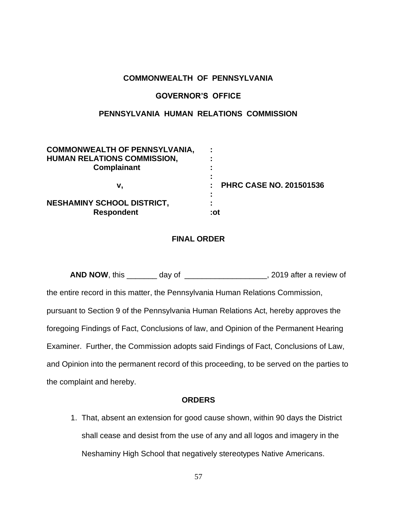#### **COMMONWEALTH OF PENNSYLVANIA**

### **GOVERNOR'S OFFICE**

#### **PENNSYLVANIA HUMAN RELATIONS COMMISSION**

| <b>COMMONWEALTH OF PENNSYLVANIA,</b> | ٠                              |
|--------------------------------------|--------------------------------|
| <b>HUMAN RELATIONS COMMISSION,</b>   |                                |
| <b>Complainant</b>                   |                                |
| ν.                                   | <b>PHRC CASE NO. 201501536</b> |
| <b>NESHAMINY SCHOOL DISTRICT,</b>    | ٠<br>٠                         |
| <b>Respondent</b>                    | :ot                            |

#### **FINAL ORDER**

**AND NOW**, this \_\_\_\_\_\_\_ day of \_\_\_\_\_\_\_\_\_\_\_\_\_\_\_\_\_\_\_, 2019 after a review of the entire record in this matter, the Pennsylvania Human Relations Commission, pursuant to Section 9 of the Pennsylvania Human Relations Act, hereby approves the foregoing Findings of Fact, Conclusions of law, and Opinion of the Permanent Hearing Examiner. Further, the Commission adopts said Findings of Fact, Conclusions of Law, and Opinion into the permanent record of this proceeding, to be served on the parties to the complaint and hereby.

### **ORDERS**

1. That, absent an extension for good cause shown, within 90 days the District shall cease and desist from the use of any and all logos and imagery in the Neshaminy High School that negatively stereotypes Native Americans.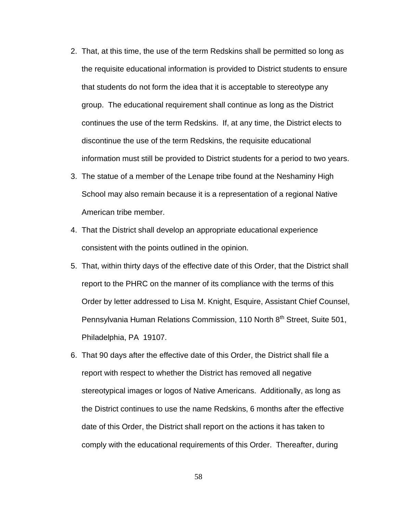- 2. That, at this time, the use of the term Redskins shall be permitted so long as the requisite educational information is provided to District students to ensure that students do not form the idea that it is acceptable to stereotype any group. The educational requirement shall continue as long as the District continues the use of the term Redskins. If, at any time, the District elects to discontinue the use of the term Redskins, the requisite educational information must still be provided to District students for a period to two years.
- 3. The statue of a member of the Lenape tribe found at the Neshaminy High School may also remain because it is a representation of a regional Native American tribe member.
- 4. That the District shall develop an appropriate educational experience consistent with the points outlined in the opinion.
- 5. That, within thirty days of the effective date of this Order, that the District shall report to the PHRC on the manner of its compliance with the terms of this Order by letter addressed to Lisa M. Knight, Esquire, Assistant Chief Counsel, Pennsylvania Human Relations Commission, 110 North 8<sup>th</sup> Street, Suite 501, Philadelphia, PA 19107.
- 6. That 90 days after the effective date of this Order, the District shall file a report with respect to whether the District has removed all negative stereotypical images or logos of Native Americans. Additionally, as long as the District continues to use the name Redskins, 6 months after the effective date of this Order, the District shall report on the actions it has taken to comply with the educational requirements of this Order. Thereafter, during